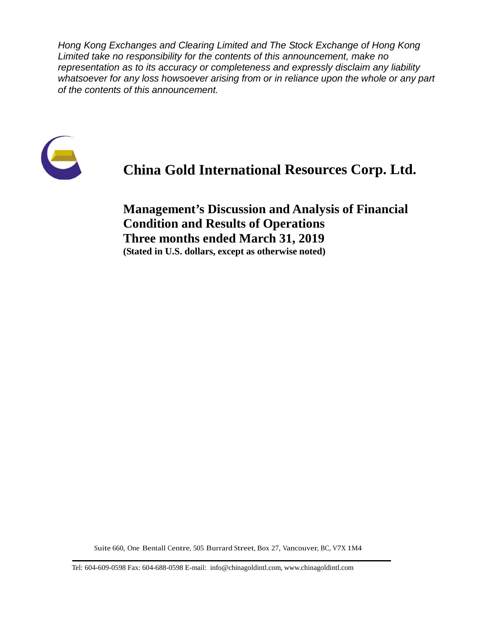*Hong Kong Exchanges and Clearing Limited and The Stock Exchange of Hong Kong Limited take no responsibility for the contents of this announcement, make no representation as to its accuracy or completeness and expressly disclaim any liability whatsoever for any loss howsoever arising from or in reliance upon the whole or any part of the contents of this announcement.*



# **China Gold International Resources Corp. Ltd.**

**Management's Discussion and Analysis of Financial Condition and Results of Operations Three months ended March 31, 2019 (Stated in U.S. dollars, except as otherwise noted)**

Suite 660, One Bentall Centre, 505 Burrard Street, Box 27, Vancouver, BC, V7X 1M4

Tel: 604-609-0598 Fax: 604-688-0598 E-mail: info@chinagoldintl.com, [www.chinagoldintl.com](http://www.chinagoldintl.com/)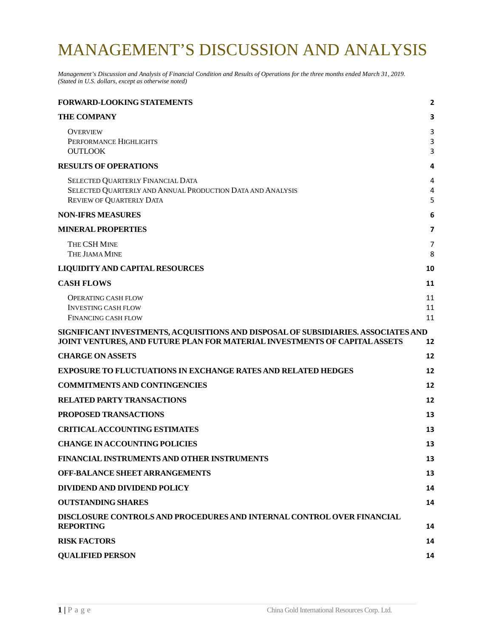# MANAGEMENT'S DISCUSSION AND ANALYSIS

*Management's Discussion and Analysis of Financial Condition and Results of Operations for the three months ended March 31, 2019. (Stated in U.S. dollars, except as otherwise noted)*

| <b>FORWARD-LOOKING STATEMENTS</b>                                                                                                                                | $\overline{2}$ |
|------------------------------------------------------------------------------------------------------------------------------------------------------------------|----------------|
| <b>THE COMPANY</b>                                                                                                                                               | 3              |
| <b>OVERVIEW</b><br>PERFORMANCE HIGHLIGHTS<br><b>OUTLOOK</b>                                                                                                      | 3<br>3<br>3    |
| <b>RESULTS OF OPERATIONS</b>                                                                                                                                     | 4              |
| SELECTED QUARTERLY FINANCIAL DATA<br>SELECTED QUARTERLY AND ANNUAL PRODUCTION DATA AND ANALYSIS<br><b>REVIEW OF QUARTERLY DATA</b>                               | 4<br>4<br>5    |
| <b>NON-IFRS MEASURES</b>                                                                                                                                         | 6              |
| <b>MINERAL PROPERTIES</b>                                                                                                                                        | 7              |
| THE CSH MINE<br>THE JIAMA MINE                                                                                                                                   | 7<br>8         |
| <b>LIQUIDITY AND CAPITAL RESOURCES</b>                                                                                                                           | 10             |
| <b>CASH FLOWS</b>                                                                                                                                                | 11             |
| <b>OPERATING CASH FLOW</b><br><b>INVESTING CASH FLOW</b><br><b>FINANCING CASH FLOW</b>                                                                           | 11<br>11<br>11 |
| SIGNIFICANT INVESTMENTS, ACQUISITIONS AND DISPOSAL OF SUBSIDIARIES. ASSOCIATES AND<br>JOINT VENTURES, AND FUTURE PLAN FOR MATERIAL INVESTMENTS OF CAPITAL ASSETS | 12             |
| <b>CHARGE ON ASSETS</b>                                                                                                                                          | 12             |
| <b>EXPOSURE TO FLUCTUATIONS IN EXCHANGE RATES AND RELATED HEDGES</b>                                                                                             | 12             |
| <b>COMMITMENTS AND CONTINGENCIES</b>                                                                                                                             | 12             |
| <b>RELATED PARTY TRANSACTIONS</b>                                                                                                                                | 12             |
| <b>PROPOSED TRANSACTIONS</b>                                                                                                                                     | 13             |
| <b>CRITICALACCOUNTING ESTIMATES</b>                                                                                                                              | 13             |
| <b>CHANGE IN ACCOUNTING POLICIES</b>                                                                                                                             | 13             |
| FINANCIAL INSTRUMENTS AND OTHER INSTRUMENTS                                                                                                                      | 13             |
| <b>OFF-BALANCE SHEET ARRANGEMENTS</b>                                                                                                                            | 13             |
| DIVIDEND AND DIVIDEND POLICY                                                                                                                                     | 14             |
| <b>OUTSTANDING SHARES</b>                                                                                                                                        | 14             |
| DISCLOSURE CONTROLS AND PROCEDURES AND INTERNAL CONTROL OVER FINANCIAL<br><b>REPORTING</b>                                                                       | 14             |
| <b>RISK FACTORS</b>                                                                                                                                              | 14             |
| <b>QUALIFIED PERSON</b>                                                                                                                                          | 14             |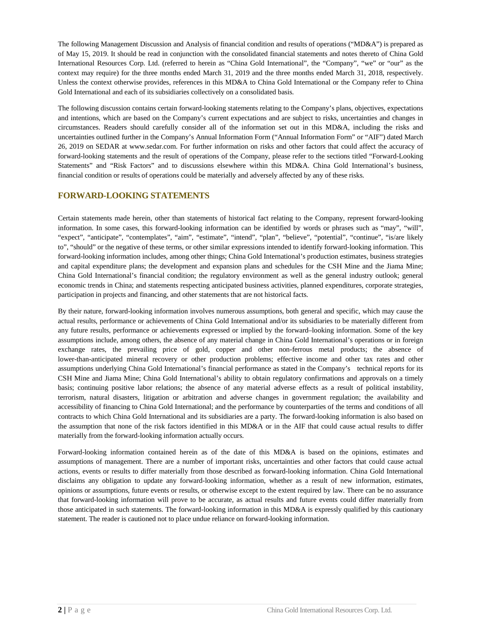The following Management Discussion and Analysis of financial condition and results of operations ("MD&A") is prepared as of May 15, 2019. It should be read in conjunction with the consolidated financial statements and notes thereto of China Gold International Resources Corp. Ltd. (referred to herein as "China Gold International", the "Company", "we" or "our" as the context may require) for the three months ended March 31, 2019 and the three months ended March 31, 2018, respectively. Unless the context otherwise provides, references in this MD&A to China Gold International or the Company refer to China Gold International and each of its subsidiaries collectively on a consolidated basis.

The following discussion contains certain forward-looking statements relating to the Company's plans, objectives, expectations and intentions, which are based on the Company's current expectations and are subject to risks, uncertainties and changes in circumstances. Readers should carefully consider all of the information set out in this MD&A, including the risks and uncertainties outlined further in the Company's Annual Information Form ("Annual Information Form" or "AIF") dated March 26, 2019 on SEDAR at www.sedar.com. For further information on risks and other factors that could affect the accuracy of forward-looking statements and the result of operations of the Company, please refer to the sections titled "Forward-Looking Statements" and "Risk Factors" and to discussions elsewhere within this MD&A. China Gold International's business, financial condition or results of operations could be materially and adversely affected by any of these risks.

### <span id="page-2-0"></span>**FORWARD-LOOKING STATEMENTS**

Certain statements made herein, other than statements of historical fact relating to the Company, represent forward-looking information. In some cases, this forward-looking information can be identified by words or phrases such as "may", "will", "expect", "anticipate", "contemplates", "aim", "estimate", "intend", "plan", "believe", "potential", "continue", "is/are likely to", "should" or the negative of these terms, or other similar expressions intended to identify forward-looking information. This forward-looking information includes, among other things; China Gold International's production estimates, business strategies and capital expenditure plans; the development and expansion plans and schedules for the CSH Mine and the Jiama Mine; China Gold International's financial condition; the regulatory environment as well as the general industry outlook; general economic trends in China; and statements respecting anticipated business activities, planned expenditures, corporate strategies, participation in projects and financing, and other statements that are not historical facts.

By their nature, forward-looking information involves numerous assumptions, both general and specific, which may cause the actual results, performance or achievements of China Gold International and/or its subsidiaries to be materially different from any future results, performance or achievements expressed or implied by the forward–looking information. Some of the key assumptions include, among others, the absence of any material change in China Gold International's operations or in foreign exchange rates, the prevailing price of gold, copper and other non-ferrous metal products; the absence of lower-than-anticipated mineral recovery or other production problems; effective income and other tax rates and other assumptions underlying China Gold International's financial performance as stated in the Company's technical reports for its CSH Mine and Jiama Mine; China Gold International's ability to obtain regulatory confirmations and approvals on a timely basis; continuing positive labor relations; the absence of any material adverse effects as a result of political instability, terrorism, natural disasters, litigation or arbitration and adverse changes in government regulation; the availability and accessibility of financing to China Gold International; and the performance by counterparties of the terms and conditions of all contracts to which China Gold International and its subsidiaries are a party. The forward-looking information is also based on the assumption that none of the risk factors identified in this MD&A or in the AIF that could cause actual results to differ materially from the forward-looking information actually occurs.

Forward-looking information contained herein as of the date of this MD&A is based on the opinions, estimates and assumptions of management. There are a number of important risks, uncertainties and other factors that could cause actual actions, events or results to differ materially from those described as forward-looking information. China Gold International disclaims any obligation to update any forward-looking information, whether as a result of new information, estimates, opinions or assumptions, future events or results, or otherwise except to the extent required by law. There can be no assurance that forward-looking information will prove to be accurate, as actual results and future events could differ materially from those anticipated in such statements. The forward-looking information in this MD&A is expressly qualified by this cautionary statement. The reader is cautioned not to place undue reliance on forward-looking information.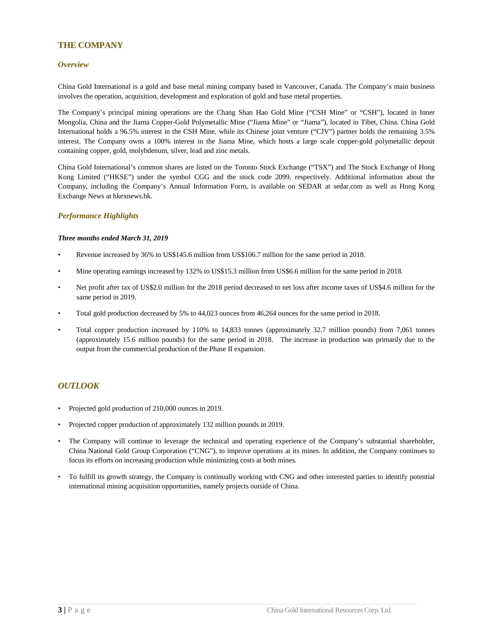### <span id="page-3-0"></span>**THE COMPANY**

### <span id="page-3-1"></span>*Overview*

China Gold International is a gold and base metal mining company based in Vancouver, Canada. The Company's main business involves the operation, acquisition, development and exploration of gold and base metal properties.

The Company's principal mining operations are the Chang Shan Hao Gold Mine ("CSH Mine" or "CSH"), located in Inner Mongolia, China and the Jiama Copper-Gold Polymetallic Mine ("Jiama Mine" or "Jiama"), located in Tibet, China. China Gold International holds a 96.5% interest in the CSH Mine, while its Chinese joint venture ("CJV") partner holds the remaining 3.5% interest. The Company owns a 100% interest in the Jiama Mine, which hosts a large scale copper-gold polymetallic deposit containing copper, gold, molybdenum, silver, lead and zinc metals.

China Gold International's common shares are listed on the Toronto Stock Exchange ("TSX") and The Stock Exchange of Hong Kong Limited ("HKSE") under the symbol CGG and the stock code 2099, respectively. Additional information about the Company, including the Company's Annual Information Form, is available on SEDAR at sedar.com as well as Hong Kong Exchange News at hkexnews.hk.

### <span id="page-3-2"></span>*Performance Highlights*

### *Three months ended March 31, 2019*

- Revenue increased by 36% to US\$145.6 million from US\$106.7 million for the same period in 2018.
- Mine operating earnings increased by 132% to US\$15.3 million from US\$6.6 million for the same period in 2018.
- Net profit after tax of US\$2.0 million for the 2018 period decreased to net loss after income taxes of US\$4.6 million for the same period in 2019.
- Total gold production decreased by 5% to 44,023 ounces from 46,264 ounces for the same period in 2018.
- Total copper production increased by 110% to 14,833 tonnes (approximately 32.7 million pounds) from 7,061 tonnes (approximately 15.6 million pounds) for the same period in 2018. The increase in production was primarily due to the output from the commercial production of the Phase II expansion.

### <span id="page-3-3"></span>*OUTLOOK*

- Projected gold production of 210,000 ounces in 2019.
- Projected copper production of approximately 132 million pounds in 2019.
- The Company will continue to leverage the technical and operating experience of the Company's substantial shareholder, China National Gold Group Corporation ("CNG"), to improve operations at its mines. In addition, the Company continues to focus its efforts on increasing production while minimizing costs at both mines.
- To fulfill its growth strategy, the Company is continually working with CNG and other interested parties to identify potential international mining acquisition opportunities, namely projects outside of China.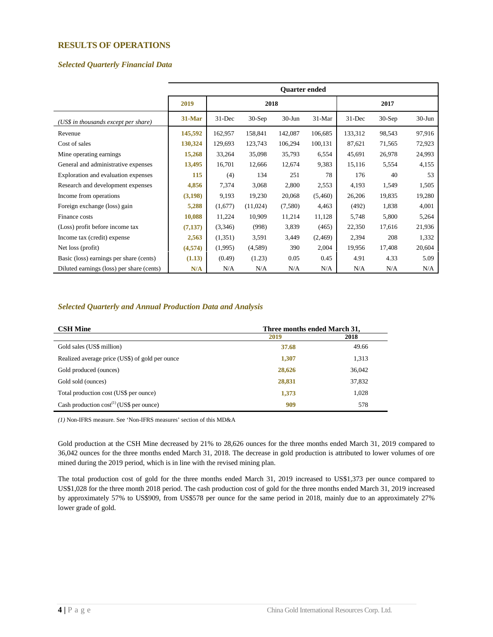### <span id="page-4-0"></span>**RESULTS OF OPERATIONS**

### <span id="page-4-1"></span>*Selected Quarterly Financial Data*

|                                           | <b>Ouarter ended</b> |            |          |            |          |            |          |            |  |
|-------------------------------------------|----------------------|------------|----------|------------|----------|------------|----------|------------|--|
|                                           | 2019                 |            | 2018     |            |          |            | 2017     |            |  |
| (US\$ in thousands except per share)      | $31-Mar$             | $31 - Dec$ | $30-Sep$ | $30 - Jun$ | $31-Mar$ | $31 - Dec$ | $30-Sep$ | $30 - Jun$ |  |
| Revenue                                   | 145,592              | 162,957    | 158,841  | 142,087    | 106,685  | 133,312    | 98,543   | 97,916     |  |
| Cost of sales                             | 130,324              | 129,693    | 123,743  | 106,294    | 100,131  | 87,621     | 71,565   | 72,923     |  |
| Mine operating earnings                   | 15,268               | 33,264     | 35,098   | 35,793     | 6,554    | 45,691     | 26,978   | 24,993     |  |
| General and administrative expenses       | 13,495               | 16,701     | 12,666   | 12,674     | 9,383    | 15,116     | 5,554    | 4,155      |  |
| Exploration and evaluation expenses       | 115                  | (4)        | 134      | 251        | 78       | 176        | 40       | 53         |  |
| Research and development expenses         | 4,856                | 7,374      | 3,068    | 2,800      | 2,553    | 4,193      | 1,549    | 1,505      |  |
| Income from operations                    | (3,198)              | 9,193      | 19,230   | 20,068     | (5,460)  | 26,206     | 19,835   | 19,280     |  |
| Foreign exchange (loss) gain              | 5,288                | (1,677)    | (11,024) | (7,580)    | 4,463    | (492)      | 1,838    | 4,001      |  |
| Finance costs                             | 10,088               | 11,224     | 10,909   | 11,214     | 11,128   | 5,748      | 5,800    | 5,264      |  |
| (Loss) profit before income tax           | (7,137)              | (3,346)    | (998)    | 3,839      | (465)    | 22,350     | 17,616   | 21,936     |  |
| Income tax (credit) expense               | 2,563                | (1,351)    | 3,591    | 3,449      | (2, 469) | 2,394      | 208      | 1,332      |  |
| Net loss (profit)                         | (4,574)              | (1,995)    | (4,589)  | 390        | 2,004    | 19,956     | 17,408   | 20,604     |  |
| Basic (loss) earnings per share (cents)   | (1.13)               | (0.49)     | (1.23)   | 0.05       | 0.45     | 4.91       | 4.33     | 5.09       |  |
| Diluted earnings (loss) per share (cents) | N/A                  | N/A        | N/A      | N/A        | N/A      | N/A        | N/A      | N/A        |  |

### <span id="page-4-2"></span>*Selected Quarterly and Annual Production Data and Analysis*

| <b>CSH Mine</b><br>Three months ended March 31, |        |        |  |  |  |
|-------------------------------------------------|--------|--------|--|--|--|
|                                                 | 2019   | 2018   |  |  |  |
| Gold sales (US\$ million)                       | 37.68  | 49.66  |  |  |  |
| Realized average price (US\$) of gold per ounce | 1,307  | 1,313  |  |  |  |
| Gold produced (ounces)                          | 28,626 | 36,042 |  |  |  |
| Gold sold (ounces)                              | 28,831 | 37,832 |  |  |  |
| Total production cost (US\$ per ounce)          | 1,373  | 1,028  |  |  |  |
| Cash production $cost^{(1)}$ (US\$ per ounce)   | 909    | 578    |  |  |  |

*(1)* Non-IFRS measure. See 'Non-IFRS measures' section of this MD&A

Gold production at the CSH Mine decreased by 21% to 28,626 ounces for the three months ended March 31, 2019 compared to 36,042 ounces for the three months ended March 31, 2018. The decrease in gold production is attributed to lower volumes of ore mined during the 2019 period, which is in line with the revised mining plan.

The total production cost of gold for the three months ended March 31, 2019 increased to US\$1,373 per ounce compared to US\$1,028 for the three month 2018 period. The cash production cost of gold for the three months ended March 31, 2019 increased by approximately 57% to US\$909, from US\$578 per ounce for the same period in 2018, mainly due to an approximately 27% lower grade of gold.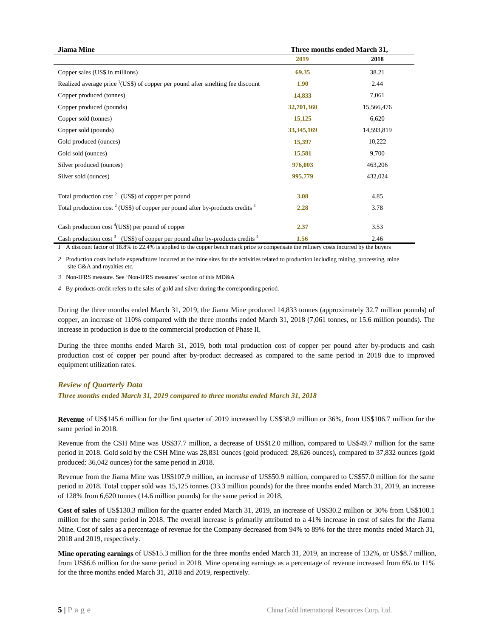| <b>Jiama Mine</b>                                                                                    | Three months ended March 31, |            |  |  |
|------------------------------------------------------------------------------------------------------|------------------------------|------------|--|--|
|                                                                                                      | 2019                         | 2018       |  |  |
| Copper sales (US\$ in millions)                                                                      | 69.35                        | 38.21      |  |  |
| Realized average price $\frac{1}{1}$ (US\$) of copper per pound after smelling fee discount          | 1.90                         | 2.44       |  |  |
| Copper produced (tonnes)                                                                             | 14,833                       | 7,061      |  |  |
| Copper produced (pounds)                                                                             | 32,701,360                   | 15,566,476 |  |  |
| Copper sold (tonnes)                                                                                 | 15,125                       | 6,620      |  |  |
| Copper sold (pounds)                                                                                 | 33, 345, 169                 | 14,593,819 |  |  |
| Gold produced (ounces)                                                                               | 15,397                       | 10,222     |  |  |
| Gold sold (ounces)                                                                                   | 15,581                       | 9,700      |  |  |
| Silver produced (ounces)                                                                             | 976,003                      | 463,206    |  |  |
| Silver sold (ounces)                                                                                 | 995,779                      | 432,024    |  |  |
| Total production cost <sup>2</sup> (US\$) of copper per pound                                        | 3.08                         | 4.85       |  |  |
| Total production cost <sup>2</sup> (US\$) of copper per pound after by-products credits <sup>4</sup> | 2.28                         | 3.78       |  |  |
| Cash production cost <sup>4</sup> (US\$) per pound of copper                                         | 2.37                         | 3.53       |  |  |
| Cash production cost <sup>3</sup> (US\$) of copper per pound after by-products credits <sup>4</sup>  | 1.56                         | 2.46       |  |  |

*1* A discount factor of 18.8% to 22.4% is applied to the copper bench mark price to compensate the refinery costs incurred by the buyers

*2* Production costs include expenditures incurred at the mine sites for the activities related to production including mining, processing, mine site G&A and royalties etc.

*3* Non-IFRS measure. See 'Non-IFRS measures' section of this MD&A

*4* By-products credit refers to the sales of gold and silver during the corresponding period.

During the three months ended March 31, 2019, the Jiama Mine produced 14,833 tonnes (approximately 32.7 million pounds) of copper, an increase of 110% compared with the three months ended March 31, 2018 (7,061 tonnes, or 15.6 million pounds). The increase in production is due to the commercial production of Phase II.

During the three months ended March 31, 2019, both total production cost of copper per pound after by-products and cash production cost of copper per pound after by-product decreased as compared to the same period in 2018 due to improved equipment utilization rates.

### <span id="page-5-0"></span>*Review of Quarterly Data*

*Three months ended March 31, 2019 compared to three months ended March 31, 2018*

**Revenue** of US\$145.6 million for the first quarter of 2019 increased by US\$38.9 million or 36%, from US\$106.7 million for the same period in 2018.

Revenue from the CSH Mine was US\$37.7 million, a decrease of US\$12.0 million, compared to US\$49.7 million for the same period in 2018. Gold sold by the CSH Mine was 28,831 ounces (gold produced: 28,626 ounces), compared to 37,832 ounces (gold produced: 36,042 ounces) for the same period in 2018.

Revenue from the Jiama Mine was US\$107.9 million, an increase of US\$50.9 million, compared to US\$57.0 million for the same period in 2018. Total copper sold was 15,125 tonnes (33.3 million pounds) for the three months ended March 31, 2019, an increase of 128% from 6,620 tonnes (14.6 million pounds) for the same period in 2018.

**Cost of sales** of US\$130.3 million for the quarter ended March 31, 2019, an increase of US\$30.2 million or 30% from US\$100.1 million for the same period in 2018. The overall increase is primarily attributed to a 41% increase in cost of sales for the Jiama Mine. Cost of sales as a percentage of revenue for the Company decreased from 94% to 89% for the three months ended March 31, 2018 and 2019, respectively.

**Mine operating earnings** of US\$15.3 million for the three months ended March 31, 2019, an increase of 132%, or US\$8.7 million, from US\$6.6 million for the same period in 2018. Mine operating earnings as a percentage of revenue increased from 6% to 11% for the three months ended March 31, 2018 and 2019, respectively.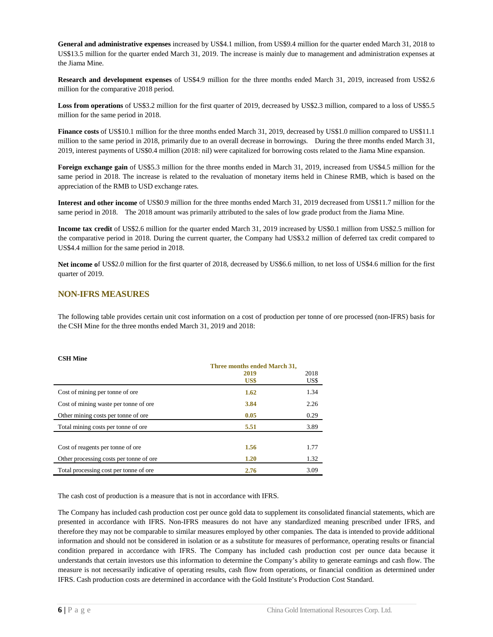**General and administrative expenses** increased by US\$4.1 million, from US\$9.4 million for the quarter ended March 31, 2018 to US\$13.5 million for the quarter ended March 31, 2019. The increase is mainly due to management and administration expenses at the Jiama Mine.

**Research and development expenses** of US\$4.9 million for the three months ended March 31, 2019, increased from US\$2.6 million for the comparative 2018 period.

**Loss from operations** of US\$3.2 million for the first quarter of 2019, decreased by US\$2.3 million, compared to a loss of US\$5.5 million for the same period in 2018.

**Finance costs** of US\$10.1 million for the three months ended March 31, 2019, decreased by US\$1.0 million compared to US\$11.1 million to the same period in 2018, primarily due to an overall decrease in borrowings. During the three months ended March 31, 2019, interest payments of US\$0.4 million (2018: nil) were capitalized for borrowing costs related to the Jiama Mine expansion.

**Foreign exchange gain** of US\$5.3 million for the three months ended in March 31, 2019, increased from US\$4.5 million for the same period in 2018. The increase is related to the revaluation of monetary items held in Chinese RMB, which is based on the appreciation of the RMB to USD exchange rates.

**Interest and other income** of US\$0.9 million for the three months ended March 31, 2019 decreased from US\$11.7 million for the same period in 2018. The 2018 amount was primarily attributed to the sales of low grade product from the Jiama Mine.

**Income tax credit** of US\$2.6 million for the quarter ended March 31, 2019 increased by US\$0.1 million from US\$2.5 million for the comparative period in 2018. During the current quarter, the Company had US\$3.2 million of deferred tax credit compared to US\$4.4 million for the same period in 2018.

**Net income o**f US\$2.0 million for the first quarter of 2018, decreased by US\$6.6 million, to net loss of US\$4.6 million for the first quarter of 2019.

### <span id="page-6-0"></span>**NON-IFRS MEASURES**

The following table provides certain unit cost information on a cost of production per tonne of ore processed (non-IFRS) basis for the CSH Mine for the three months ended March 31, 2019 and 2018:

| <b>CSH Mine</b>                         |                              |      |
|-----------------------------------------|------------------------------|------|
|                                         | Three months ended March 31, |      |
|                                         | 2019                         | 2018 |
|                                         | US\$                         | US\$ |
| Cost of mining per tonne of ore         | 1.62                         | 1.34 |
| Cost of mining waste per tonne of ore   | 3.84                         | 2.26 |
| Other mining costs per tonne of ore     | 0.05                         | 0.29 |
| Total mining costs per tonne of ore.    | 5.51                         | 3.89 |
|                                         |                              |      |
| Cost of reagents per tonne of ore       | 1.56                         | 1.77 |
| Other processing costs per tonne of ore | 1.20                         | 1.32 |
| Total processing cost per tonne of ore  | 2.76                         | 3.09 |

The cash cost of production is a measure that is not in accordance with IFRS.

The Company has included cash production cost per ounce gold data to supplement its consolidated financial statements, which are presented in accordance with IFRS. Non-IFRS measures do not have any standardized meaning prescribed under IFRS, and therefore they may not be comparable to similar measures employed by other companies. The data is intended to provide additional information and should not be considered in isolation or as a substitute for measures of performance, operating results or financial condition prepared in accordance with IFRS. The Company has included cash production cost per ounce data because it understands that certain investors use this information to determine the Company's ability to generate earnings and cash flow. The measure is not necessarily indicative of operating results, cash flow from operations, or financial condition as determined under IFRS. Cash production costs are determined in accordance with the Gold Institute's Production Cost Standard.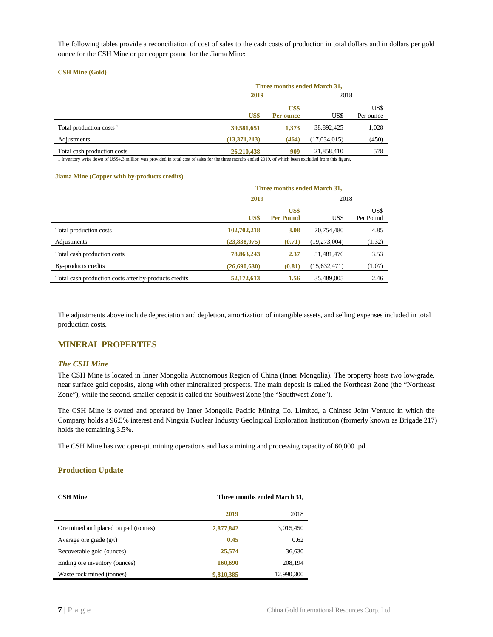The following tables provide a reconciliation of cost of sales to the cash costs of production in total dollars and in dollars per gold ounce for the CSH Mine or per copper pound for the Jiama Mine:

### **CSH Mine (Gold)**

|                             | Three months ended March 31, |                   |              |                   |  |  |  |
|-----------------------------|------------------------------|-------------------|--------------|-------------------|--|--|--|
|                             | 2019                         | 2018              |              |                   |  |  |  |
|                             | US\$                         | US\$<br>Per ounce | US\$         | US\$<br>Per ounce |  |  |  |
| Total production costs $1$  | 39,581,651                   | 1,373             | 38,892,425   | 1,028             |  |  |  |
| Adjustments                 | (13,371,213)                 | (464)             | (17,034,015) | (450)             |  |  |  |
| Total cash production costs | 26,210,438                   | 909               | 21,858,410   | 578               |  |  |  |

1 Inventory write down of US\$4.3 million was provided in total cost of sales for the three months ended 2019, of which been excluded from this figure.

#### **Jiama Mine (Copper with by-products credits)**

|                                                       | Three months ended March 31, |                          |              |                   |  |  |  |
|-------------------------------------------------------|------------------------------|--------------------------|--------------|-------------------|--|--|--|
|                                                       | 2019                         |                          | 2018         |                   |  |  |  |
|                                                       | US\$                         | US\$<br><b>Per Pound</b> | US\$         | US\$<br>Per Pound |  |  |  |
| Total production costs                                | 102,702,218                  | 3.08                     | 70,754,480   | 4.85              |  |  |  |
| Adjustments                                           | (23,838,975)                 | (0.71)                   | (19,273,004) | (1.32)            |  |  |  |
| Total cash production costs                           | 78,863,243                   | 2.37                     | 51,481,476   | 3.53              |  |  |  |
| By-products credits                                   | (26,690,630)                 | (0.81)                   | (15,632,471) | (1.07)            |  |  |  |
| Total cash production costs after by-products credits | 52,172,613                   | 1.56                     | 35,489,005   | 2.46              |  |  |  |

The adjustments above include depreciation and depletion, amortization of intangible assets, and selling expenses included in total production costs.

### <span id="page-7-0"></span>**MINERAL PROPERTIES**

#### <span id="page-7-1"></span>*The CSH Mine*

The CSH Mine is located in Inner Mongolia Autonomous Region of China (Inner Mongolia). The property hosts two low-grade, near surface gold deposits, along with other mineralized prospects. The main deposit is called the Northeast Zone (the "Northeast Zone"), while the second, smaller deposit is called the Southwest Zone (the "Southwest Zone").

The CSH Mine is owned and operated by Inner Mongolia Pacific Mining Co. Limited, a Chinese Joint Venture in which the Company holds a 96.5% interest and Ningxia Nuclear Industry Geological Exploration Institution (formerly known as Brigade 217) holds the remaining 3.5%.

The CSH Mine has two open-pit mining operations and has a mining and processing capacity of 60,000 tpd.

### **Production Update**

| <b>CSH Mine</b>                      | Three months ended March 31, |            |  |  |
|--------------------------------------|------------------------------|------------|--|--|
|                                      | 2019                         | 2018       |  |  |
| Ore mined and placed on pad (tonnes) | 2,877,842                    | 3,015,450  |  |  |
| Average ore grade $(g/t)$            | 0.45                         | 0.62       |  |  |
| Recoverable gold (ounces)            | 25,574                       | 36,630     |  |  |
| Ending ore inventory (ounces)        | 160,690                      | 208,194    |  |  |
| Waste rock mined (tonnes)            | 9,810,385                    | 12,990,300 |  |  |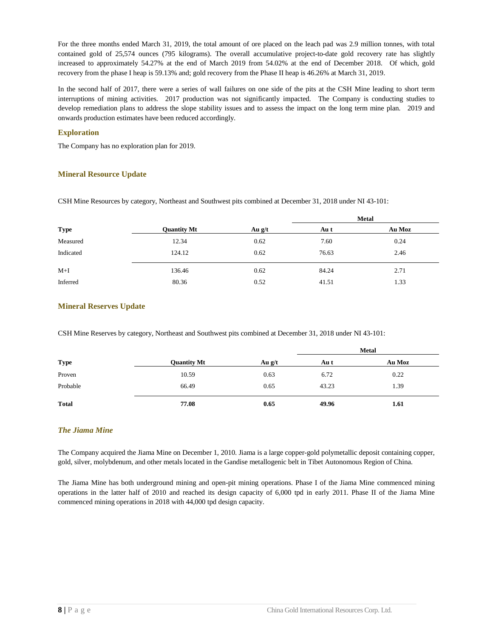For the three months ended March 31, 2019, the total amount of ore placed on the leach pad was 2.9 million tonnes, with total contained gold of 25,574 ounces (795 kilograms). The overall accumulative project-to-date gold recovery rate has slightly increased to approximately 54.27% at the end of March 2019 from 54.02% at the end of December 2018. Of which, gold recovery from the phase I heap is 59.13% and; gold recovery from the Phase II heap is 46.26% at March 31, 2019.

In the second half of 2017, there were a series of wall failures on one side of the pits at the CSH Mine leading to short term interruptions of mining activities. 2017 production was not significantly impacted. The Company is conducting studies to develop remediation plans to address the slope stability issues and to assess the impact on the long term mine plan. 2019 and onwards production estimates have been reduced accordingly.

### **Exploration**

The Company has no exploration plan for 2019.

### **Mineral Resource Update**

CSH Mine Resources by category, Northeast and Southwest pits combined at December 31, 2018 under NI 43-101:

|             |                    |          | <b>Metal</b> |        |  |
|-------------|--------------------|----------|--------------|--------|--|
| <b>Type</b> | <b>Quantity Mt</b> | Au $g/t$ | Au t         | Au Moz |  |
| Measured    | 12.34              | 0.62     | 7.60         | 0.24   |  |
| Indicated   | 124.12             | 0.62     | 76.63        | 2.46   |  |
| $M+I$       | 136.46             | 0.62     | 84.24        | 2.71   |  |
| Inferred    | 80.36              | 0.52     | 41.51        | 1.33   |  |

### **Mineral Reserves Update**

CSH Mine Reserves by category, Northeast and Southwest pits combined at December 31, 2018 under NI 43-101:

|              |                    |          | <b>Metal</b> |        |  |
|--------------|--------------------|----------|--------------|--------|--|
| <b>Type</b>  | <b>Quantity Mt</b> | Au $g/t$ | Au t         | Au Moz |  |
| Proven       | 10.59              | 0.63     | 6.72         | 0.22   |  |
| Probable     | 66.49              | 0.65     | 43.23        | 1.39   |  |
| <b>Total</b> | 77.08              | 0.65     | 49.96        | 1.61   |  |

### <span id="page-8-0"></span>*The Jiama Mine*

The Company acquired the Jiama Mine on December 1, 2010. Jiama is a large copper-gold polymetallic deposit containing copper, gold, silver, molybdenum, and other metals located in the Gandise metallogenic belt in Tibet Autonomous Region of China.

The Jiama Mine has both underground mining and open-pit mining operations. Phase I of the Jiama Mine commenced mining operations in the latter half of 2010 and reached its design capacity of 6,000 tpd in early 2011. Phase II of the Jiama Mine commenced mining operations in 2018 with 44,000 tpd design capacity.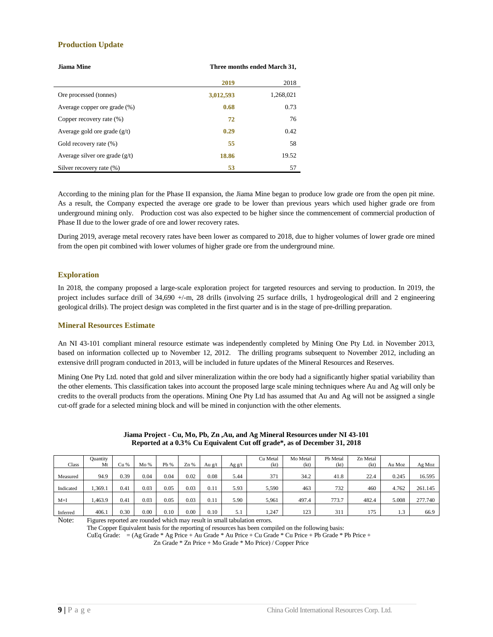### **Production Update**

| Jiama Mine                       | Three months ended March 31, |           |  |  |
|----------------------------------|------------------------------|-----------|--|--|
|                                  | 2019                         | 2018      |  |  |
| Ore processed (tonnes)           | 3,012,593                    | 1,268,021 |  |  |
| Average copper ore grade (%)     | 0.68                         | 0.73      |  |  |
| Copper recovery rate (%)         | 72                           | 76        |  |  |
| Average gold ore grade $(g/t)$   | 0.29                         | 0.42      |  |  |
| Gold recovery rate (%)           | 55                           | 58        |  |  |
| Average silver ore grade $(g/t)$ | 18.86                        | 19.52     |  |  |
| Silver recovery rate (%)         | 53                           | 57        |  |  |

According to the mining plan for the Phase II expansion, the Jiama Mine began to produce low grade ore from the open pit mine. As a result, the Company expected the average ore grade to be lower than previous years which used higher grade ore from underground mining only. Production cost was also expected to be higher since the commencement of commercial production of Phase II due to the lower grade of ore and lower recovery rates.

During 2019, average metal recovery rates have been lower as compared to 2018, due to higher volumes of lower grade ore mined from the open pit combined with lower volumes of higher grade ore from the underground mine.

### **Exploration**

In 2018, the company proposed a large-scale exploration project for targeted resources and serving to production. In 2019, the project includes surface drill of 34,690 +/-m, 28 drills (involving 25 surface drills, 1 hydrogeological drill and 2 engineering geological drills). The project design was completed in the first quarter and is in the stage of pre-drilling preparation.

### **Mineral Resources Estimate**

An NI 43-101 compliant mineral resource estimate was independently completed by Mining One Pty Ltd. in November 2013, based on information collected up to November 12, 2012. The drilling programs subsequent to November 2012, including an extensive drill program conducted in 2013, will be included in future updates of the Mineral Resources and Reserves.

Mining One Pty Ltd. noted that gold and silver mineralization within the ore body had a significantly higher spatial variability than the other elements. This classification takes into account the proposed large scale mining techniques where Au and Ag will only be credits to the overall products from the operations. Mining One Pty Ltd has assumed that Au and Ag will not be assigned a single cut-off grade for a selected mining block and will be mined in conjunction with the other elements.

|           | Ouantity |      |      |      |      |        |          | Cu Metal | Mo Metal | Pb Metal | Zn Metal |        |         |
|-----------|----------|------|------|------|------|--------|----------|----------|----------|----------|----------|--------|---------|
| Class     | Mt       | Cu % | Mo%  | Pb % | Zn % | Au g/t | Ag $g/t$ | (kt)     | (kt)     | (kt      | (kt)     | Au Moz | Ag Moz  |
|           |          |      |      |      |      |        |          |          |          |          |          |        |         |
| Measured  | 94.9     | 0.39 | 0.04 | 0.04 | 0.02 | 0.08   | 5.44     | 371      | 34.2     | 41.8     | 22.4     | 0.245  | 16.595  |
|           |          |      |      |      |      |        |          |          |          |          |          |        |         |
| Indicated | 1.369.1  | 0.41 | 0.03 | 0.05 | 0.03 | 0.11   | 5.93     | 5.590    | 463      | 732      | 460      | 4.762  | 261.145 |
|           |          |      |      |      |      |        |          |          |          |          |          |        |         |
| $M+I$     | .463.9   | 0.41 | 0.03 | 0.05 | 0.03 | 0.11   | 5.90     | 5,961    | 497.4    | 773.7    | 482.4    | 5.008  | 277.740 |
|           |          |      |      |      |      |        |          |          |          |          |          |        |         |
| Inferred  | 406.1    | 0.30 | 0.00 | 0.10 | 0.00 | 0.10   |          | .247     | 123      | 311      | 175      | 1.3    | 66.9    |

**Jiama Project - Cu, Mo, Pb, Zn ,Au, and Ag Mineral Resources under NI 43-101 Reported at a 0.3% Cu Equivalent Cut off grade\*, as of December 31, 2018**

Note: Figures reported are rounded which may result in small tabulation errors.

The Copper Equivalent basis for the reporting of resources has been compiled on the following basis:

CuEq Grade: = (Ag Grade \* Ag Price + Au Grade \* Au Price + Cu Grade \* Cu Price + Pb Grade \* Pb Price +

Zn Grade \* Zn Price + Mo Grade \* Mo Price) / Copper Price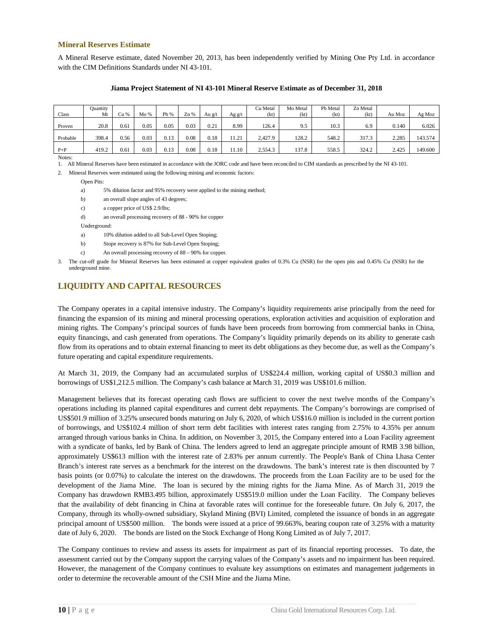### **Mineral Reserves Estimate**

A Mineral Reserve estimate, dated November 20, 2013, has been independently verified by Mining One Pty Ltd. in accordance with the CIM Definitions Standards under NI 43-101.

| Class    | Quantity<br>Mt | Cu % | Mo%  | Pb % | Zn%  | Au g/t | Ag g/t | Cu Metal<br>(kt) | Mo Metal<br>(kt) | Pb Metal<br>(kt) | Zn Metal<br>(kt) | Au Moz | Ag Moz  |
|----------|----------------|------|------|------|------|--------|--------|------------------|------------------|------------------|------------------|--------|---------|
| Proven   | 20.8           | 0.61 | 0.05 | 0.05 | 0.03 | 0.21   | 8.99   | 126.4            | 9.5              | 10.3             | 6.9              | 0.140  | 6.026   |
| Probable | 398.4          | 0.56 | 0.03 | 0.13 | 0.08 | 0.18   | 11.21  | 2.427.9          | 128.2            | 548.2            | 317.3            | 2.285  | 143.574 |
| $P + P$  | 419.2          | 0.61 | 0.03 | 0.13 | 0.08 | 0.18   | 1.10   | 2,554.3          | 137.8            | 558.5            | 324.2            | 2.425  | 149.600 |

#### **Jiama Project Statement of NI 43-101 Mineral Reserve Estimate as of December 31, 2018**

1. All Mineral Reserves have been estimated in accordance with the JORC code and have been reconciled to CIM standards as prescribed by the NI 43-101.

2. Mineral Reserves were estimated using the following mining and economic factors:

Open Pits:

Notes:

a) 5% dilution factor and 95% recovery were applied to the mining method;

- b) an overall slope angles of 43 degrees;
- c) a copper price of US\$ 2.9/lbs;
- d) an overall processing recovery of 88 90% for copper

Underground:

- a) 10% dilution added to all Sub-Level Open Stoping;
- b) Stope recovery is 87% for Sub-Level Open Stoping;
- c) An overall processing recovery of 88 90% for copper.

3. The cut-off grade for Mineral Reserves has been estimated at copper equivalent grades of 0.3% Cu (NSR) for the open pits and 0.45% Cu (NSR) for the underground mine.

### <span id="page-10-0"></span>**LIQUIDITY AND CAPITAL RESOURCES**

The Company operates in a capital intensive industry. The Company's liquidity requirements arise principally from the need for financing the expansion of its mining and mineral processing operations, exploration activities and acquisition of exploration and mining rights. The Company's principal sources of funds have been proceeds from borrowing from commercial banks in China, equity financings, and cash generated from operations. The Company's liquidity primarily depends on its ability to generate cash flow from its operations and to obtain external financing to meet its debt obligations as they become due, as well as the Company's future operating and capital expenditure requirements.

At March 31, 2019, the Company had an accumulated surplus of US\$224.4 million, working capital of US\$0.3 million and borrowings of US\$1,212.5 million. The Company's cash balance at March 31, 2019 was US\$101.6 million.

Management believes that its forecast operating cash flows are sufficient to cover the next twelve months of the Company's operations including its planned capital expenditures and current debt repayments. The Company's borrowings are comprised of US\$501.9 million of 3.25% unsecured bonds maturing on July 6, 2020, of which US\$16.0 million is included in the current portion of borrowings, and US\$102.4 million of short term debt facilities with interest rates ranging from 2.75% to 4.35% per annum arranged through various banks in China. In addition, on November 3, 2015, the Company entered into a Loan Facility agreement with a syndicate of banks, led by Bank of China. The lenders agreed to lend an aggregate principle amount of RMB 3.98 billion, approximately US\$613 million with the interest rate of 2.83% per annum currently. The People's Bank of China Lhasa Center Branch's interest rate serves as a benchmark for the interest on the drawdowns. The bank's interest rate is then discounted by 7 basis points (or 0.07%) to calculate the interest on the drawdowns. The proceeds from the Loan Facility are to be used for the development of the Jiama Mine. The loan is secured by the mining rights for the Jiama Mine. As of March 31, 2019 the Company has drawdown RMB3.495 billion, approximately US\$519.0 million under the Loan Facility. The Company believes that the availability of debt financing in China at favorable rates will continue for the foreseeable future. On July 6, 2017, the Company, through its wholly-owned subsidiary, Skyland Mining (BVI) Limited, completed the issuance of bonds in an aggregate principal amount of US\$500 million. The bonds were issued at a price of 99.663%, bearing coupon rate of 3.25% with a maturity date of July 6, 2020. The bonds are listed on the Stock Exchange of Hong Kong Limited as of July 7, 2017.

The Company continues to review and assess its assets for impairment as part of its financial reporting processes. To date, the assessment carried out by the Company support the carrying values of the Company's assets and no impairment has been required. However, the management of the Company continues to evaluate key assumptions on estimates and management judgements in order to determine the recoverable amount of the CSH Mine and the Jiama Mine**.**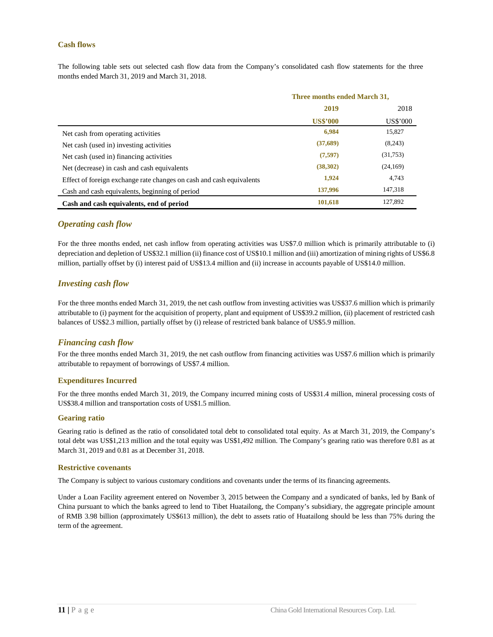### <span id="page-11-0"></span>**Cash flows**

The following table sets out selected cash flow data from the Company's consolidated cash flow statements for the three months ended March 31, 2019 and March 31, 2018.

|                                                                      | Three months ended March 31, |          |  |
|----------------------------------------------------------------------|------------------------------|----------|--|
|                                                                      | 2019                         | 2018     |  |
|                                                                      | <b>US\$'000</b>              | US\$'000 |  |
| Net cash from operating activities                                   | 6,984                        | 15,827   |  |
| Net cash (used in) investing activities                              | (37,689)                     | (8,243)  |  |
| Net cash (used in) financing activities                              | (7,597)                      | (31,753) |  |
| Net (decrease) in cash and cash equivalents                          | (38,302)                     | (24,169) |  |
| Effect of foreign exchange rate changes on cash and cash equivalents | 1,924                        | 4,743    |  |
| Cash and cash equivalents, beginning of period                       | 137,996                      | 147,318  |  |
| Cash and cash equivalents, end of period                             | 101,618                      | 127,892  |  |

### <span id="page-11-1"></span>*Operating cash flow*

For the three months ended, net cash inflow from operating activities was US\$7.0 million which is primarily attributable to (i) depreciation and depletion of US\$32.1 million (ii) finance cost of US\$10.1 million and (iii) amortization of mining rights of US\$6.8 million, partially offset by (i) interest paid of US\$13.4 million and (ii) increase in accounts payable of US\$14.0 million.

### <span id="page-11-2"></span>*Investing cash flow*

For the three months ended March 31, 2019, the net cash outflow from investing activities was US\$37.6 million which is primarily attributable to (i) payment for the acquisition of property, plant and equipment of US\$39.2 million, (ii) placement of restricted cash balances of US\$2.3 million, partially offset by (i) release of restricted bank balance of US\$5.9 million.

### <span id="page-11-3"></span>*Financing cash flow*

For the three months ended March 31, 2019, the net cash outflow from financing activities was US\$7.6 million which is primarily attributable to repayment of borrowings of US\$7.4 million.

### **Expenditures Incurred**

For the three months ended March 31, 2019, the Company incurred mining costs of US\$31.4 million, mineral processing costs of US\$38.4 million and transportation costs of US\$1.5 million.

### **Gearing ratio**

Gearing ratio is defined as the ratio of consolidated total debt to consolidated total equity. As at March 31, 2019, the Company's total debt was US\$1,213 million and the total equity was US\$1,492 million. The Company's gearing ratio was therefore 0.81 as at March 31, 2019 and 0.81 as at December 31, 2018.

### **Restrictive covenants**

The Company is subject to various customary conditions and covenants under the terms of its financing agreements.

Under a Loan Facility agreement entered on November 3, 2015 between the Company and a syndicated of banks, led by Bank of China pursuant to which the banks agreed to lend to Tibet Huatailong, the Company's subsidiary, the aggregate principle amount of RMB 3.98 billion (approximately US\$613 million), the debt to assets ratio of Huatailong should be less than 75% during the term of the agreement.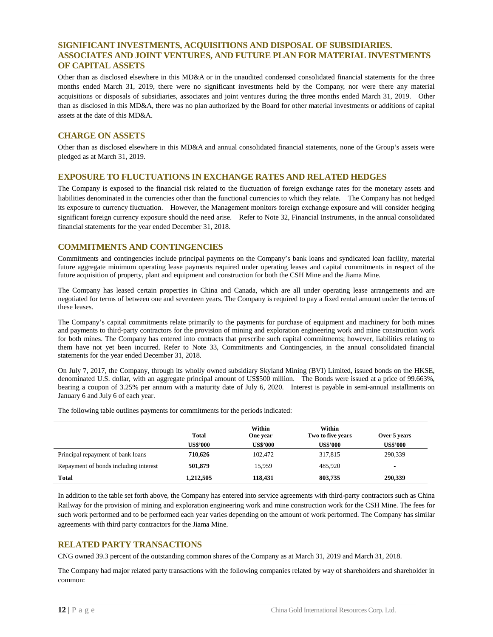### <span id="page-12-0"></span>**SIGNIFICANT INVESTMENTS, ACQUISITIONS AND DISPOSAL OF SUBSIDIARIES. ASSOCIATES AND JOINT VENTURES, AND FUTURE PLAN FOR MATERIAL INVESTMENTS OF CAPITAL ASSETS**

Other than as disclosed elsewhere in this MD&A or in the unaudited condensed consolidated financial statements for the three months ended March 31, 2019, there were no significant investments held by the Company, nor were there any material acquisitions or disposals of subsidiaries, associates and joint ventures during the three months ended March 31, 2019. Other than as disclosed in this MD&A, there was no plan authorized by the Board for other material investments or additions of capital assets at the date of this MD&A.

### <span id="page-12-1"></span>**CHARGE ON ASSETS**

Other than as disclosed elsewhere in this MD&A and annual consolidated financial statements, none of the Group's assets were pledged as at March 31, 2019.

### <span id="page-12-2"></span>**EXPOSURE TO FLUCTUATIONS IN EXCHANGE RATES AND RELATED HEDGES**

The Company is exposed to the financial risk related to the fluctuation of foreign exchange rates for the monetary assets and liabilities denominated in the currencies other than the functional currencies to which they relate. The Company has not hedged its exposure to currency fluctuation. However, the Management monitors foreign exchange exposure and will consider hedging significant foreign currency exposure should the need arise. Refer to Note 32, Financial Instruments, in the annual consolidated financial statements for the year ended December 31, 2018.

### <span id="page-12-3"></span>**COMMITMENTS AND CONTINGENCIES**

Commitments and contingencies include principal payments on the Company's bank loans and syndicated loan facility, material future aggregate minimum operating lease payments required under operating leases and capital commitments in respect of the future acquisition of property, plant and equipment and construction for both the CSH Mine and the Jiama Mine.

The Company has leased certain properties in China and Canada, which are all under operating lease arrangements and are negotiated for terms of between one and seventeen years. The Company is required to pay a fixed rental amount under the terms of these leases.

The Company's capital commitments relate primarily to the payments for purchase of equipment and machinery for both mines and payments to third-party contractors for the provision of mining and exploration engineering work and mine construction work for both mines. The Company has entered into contracts that prescribe such capital commitments; however, liabilities relating to them have not yet been incurred. Refer to Note 33, Commitments and Contingencies, in the annual consolidated financial statements for the year ended December 31, 2018.

On July 7, 2017, the Company, through its wholly owned subsidiary Skyland Mining (BVI) Limited, issued bonds on the HKSE, denominated U.S. dollar, with an aggregate principal amount of US\$500 million. The Bonds were issued at a price of 99.663%, bearing a coupon of 3.25% per annum with a maturity date of July 6, 2020. Interest is payable in semi-annual installments on January 6 and July 6 of each year.

The following table outlines payments for commitments for the periods indicated:

|                                       | <b>Total</b>    | Within<br>One year | Within<br>Two to five years | Over 5 years             |
|---------------------------------------|-----------------|--------------------|-----------------------------|--------------------------|
|                                       | <b>US\$'000</b> | <b>US\$'000</b>    | <b>US\$'000</b>             | <b>US\$'000</b>          |
| Principal repayment of bank loans     | 710,626         | 102.472            | 317.815                     | 290,339                  |
| Repayment of bonds including interest | 501,879         | 15.959             | 485,920                     | $\overline{\phantom{a}}$ |
| <b>Total</b>                          | 1,212,505       | 118,431            | 803,735                     | 290,339                  |

In addition to the table set forth above, the Company has entered into service agreements with third-party contractors such as China Railway for the provision of mining and exploration engineering work and mine construction work for the CSH Mine. The fees for such work performed and to be performed each year varies depending on the amount of work performed. The Company has similar agreements with third party contractors for the Jiama Mine.

### <span id="page-12-4"></span>**RELATED PARTY TRANSACTIONS**

CNG owned 39.3 percent of the outstanding common shares of the Company as at March 31, 2019 and March 31, 2018.

The Company had major related party transactions with the following companies related by way of shareholders and shareholder in common: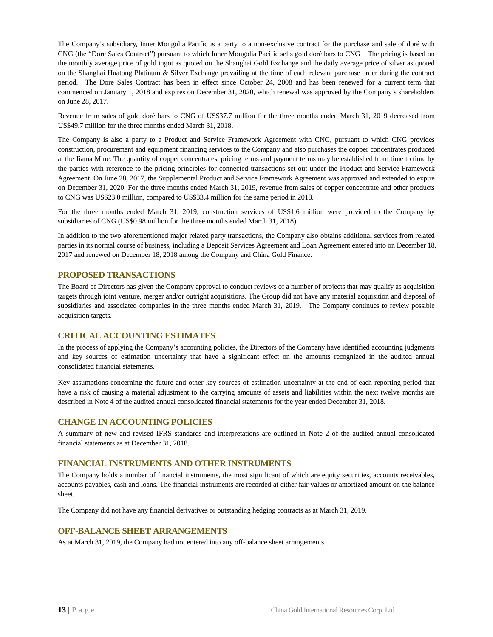The Company's subsidiary, Inner Mongolia Pacific is a party to a non-exclusive contract for the purchase and sale of doré with CNG (the "Dore Sales Contract") pursuant to which Inner Mongolia Pacific sells gold doré bars to CNG. The pricing is based on the monthly average price of gold ingot as quoted on the Shanghai Gold Exchange and the daily average price of silver as quoted on the Shanghai Huatong Platinum & Silver Exchange prevailing at the time of each relevant purchase order during the contract period. The Dore Sales Contract has been in effect since October 24, 2008 and has been renewed for a current term that commenced on January 1, 2018 and expires on December 31, 2020, which renewal was approved by the Company's shareholders on June 28, 2017.

Revenue from sales of gold doré bars to CNG of US\$37.7 million for the three months ended March 31, 2019 decreased from US\$49.7 million for the three months ended March 31, 2018.

The Company is also a party to a Product and Service Framework Agreement with CNG, pursuant to which CNG provides construction, procurement and equipment financing services to the Company and also purchases the copper concentrates produced at the Jiama Mine. The quantity of copper concentrates, pricing terms and payment terms may be established from time to time by the parties with reference to the pricing principles for connected transactions set out under the Product and Service Framework Agreement. On June 28, 2017, the Supplemental Product and Service Framework Agreement was approved and extended to expire on December 31, 2020. For the three months ended March 31, 2019, revenue from sales of copper concentrate and other products to CNG was US\$23.0 million, compared to US\$33.4 million for the same period in 2018.

For the three months ended March 31, 2019, construction services of US\$1.6 million were provided to the Company by subsidiaries of CNG (US\$0.98 million for the three months ended March 31, 2018).

In addition to the two aforementioned major related party transactions, the Company also obtains additional services from related parties in its normal course of business, including a Deposit Services Agreement and Loan Agreement entered into on December 18, 2017 and renewed on December 18, 2018 among the Company and China Gold Finance.

### <span id="page-13-0"></span>**PROPOSED TRANSACTIONS**

The Board of Directors has given the Company approval to conduct reviews of a number of projects that may qualify as acquisition targets through joint venture, merger and/or outright acquisitions. The Group did not have any material acquisition and disposal of subsidiaries and associated companies in the three months ended March 31, 2019. The Company continues to review possible acquisition targets.

### <span id="page-13-1"></span>**CRITICAL ACCOUNTING ESTIMATES**

In the process of applying the Company's accounting policies, the Directors of the Company have identified accounting judgments and key sources of estimation uncertainty that have a significant effect on the amounts recognized in the audited annual consolidated financial statements.

Key assumptions concerning the future and other key sources of estimation uncertainty at the end of each reporting period that have a risk of causing a material adjustment to the carrying amounts of assets and liabilities within the next twelve months are described in Note 4 of the audited annual consolidated financial statements for the year ended December 31, 2018.

### <span id="page-13-2"></span>**CHANGE IN ACCOUNTING POLICIES**

A summary of new and revised IFRS standards and interpretations are outlined in Note 2 of the audited annual consolidated financial statements as at December 31, 2018.

### <span id="page-13-3"></span>**FINANCIAL INSTRUMENTS AND OTHER INSTRUMENTS**

The Company holds a number of financial instruments, the most significant of which are equity securities, accounts receivables, accounts payables, cash and loans. The financial instruments are recorded at either fair values or amortized amount on the balance sheet.

The Company did not have any financial derivatives or outstanding hedging contracts as at March 31, 2019.

### <span id="page-13-4"></span>**OFF-BALANCE SHEET ARRANGEMENTS**

As at March 31, 2019, the Company had not entered into any off-balance sheet arrangements.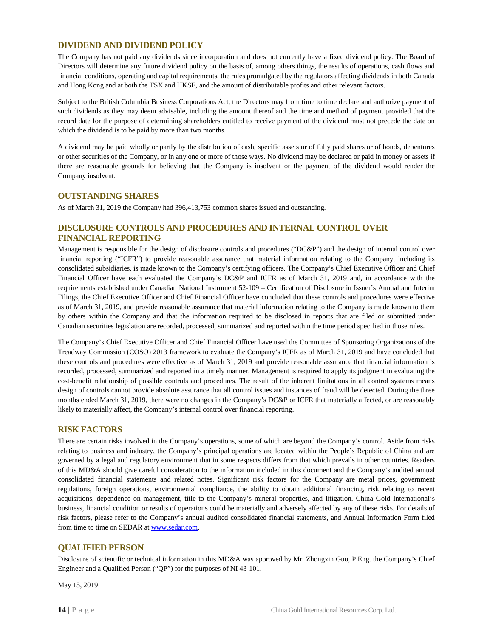### <span id="page-14-0"></span>**DIVIDEND AND DIVIDEND POLICY**

The Company has not paid any dividends since incorporation and does not currently have a fixed dividend policy. The Board of Directors will determine any future dividend policy on the basis of, among others things, the results of operations, cash flows and financial conditions, operating and capital requirements, the rules promulgated by the regulators affecting dividends in both Canada and Hong Kong and at both the TSX and HKSE, and the amount of distributable profits and other relevant factors.

Subject to the British Columbia Business Corporations Act, the Directors may from time to time declare and authorize payment of such dividends as they may deem advisable, including the amount thereof and the time and method of payment provided that the record date for the purpose of determining shareholders entitled to receive payment of the dividend must not precede the date on which the dividend is to be paid by more than two months.

A dividend may be paid wholly or partly by the distribution of cash, specific assets or of fully paid shares or of bonds, debentures or other securities of the Company, or in any one or more of those ways. No dividend may be declared or paid in money or assets if there are reasonable grounds for believing that the Company is insolvent or the payment of the dividend would render the Company insolvent.

### <span id="page-14-1"></span>**OUTSTANDING SHARES**

As of March 31, 2019 the Company had 396,413,753 common shares issued and outstanding.

### <span id="page-14-2"></span>**DISCLOSURE CONTROLS AND PROCEDURES AND INTERNAL CONTROL OVER FINANCIAL REPORTING**

Management is responsible for the design of disclosure controls and procedures ("DC&P") and the design of internal control over financial reporting ("ICFR") to provide reasonable assurance that material information relating to the Company, including its consolidated subsidiaries, is made known to the Company's certifying officers. The Company's Chief Executive Officer and Chief Financial Officer have each evaluated the Company's DC&P and ICFR as of March 31, 2019 and, in accordance with the requirements established under Canadian National Instrument 52-109 – Certification of Disclosure in Issuer's Annual and Interim Filings, the Chief Executive Officer and Chief Financial Officer have concluded that these controls and procedures were effective as of March 31, 2019, and provide reasonable assurance that material information relating to the Company is made known to them by others within the Company and that the information required to be disclosed in reports that are filed or submitted under Canadian securities legislation are recorded, processed, summarized and reported within the time period specified in those rules.

The Company's Chief Executive Officer and Chief Financial Officer have used the Committee of Sponsoring Organizations of the Treadway Commission (COSO) 2013 framework to evaluate the Company's ICFR as of March 31, 2019 and have concluded that these controls and procedures were effective as of March 31, 2019 and provide reasonable assurance that financial information is recorded, processed, summarized and reported in a timely manner. Management is required to apply its judgment in evaluating the cost-benefit relationship of possible controls and procedures. The result of the inherent limitations in all control systems means design of controls cannot provide absolute assurance that all control issues and instances of fraud will be detected. During the three months ended March 31, 2019, there were no changes in the Company's DC&P or ICFR that materially affected, or are reasonably likely to materially affect, the Company's internal control over financial reporting.

### <span id="page-14-3"></span>**RISK FACTORS**

There are certain risks involved in the Company's operations, some of which are beyond the Company's control. Aside from risks relating to business and industry, the Company's principal operations are located within the People's Republic of China and are governed by a legal and regulatory environment that in some respects differs from that which prevails in other countries. Readers of this MD&A should give careful consideration to the information included in this document and the Company's audited annual consolidated financial statements and related notes. Significant risk factors for the Company are metal prices, government regulations, foreign operations, environmental compliance, the ability to obtain additional financing, risk relating to recent acquisitions, dependence on management, title to the Company's mineral properties, and litigation. China Gold International's business, financial condition or results of operations could be materially and adversely affected by any of these risks. For details of risk factors, please refer to the Company's annual audited consolidated financial statements, and Annual Information Form filed from time to time on SEDAR a[t www.sedar.com.](http://www.sedar.com/)

### <span id="page-14-4"></span>**QUALIFIED PERSON**

Disclosure of scientific or technical information in this MD&A was approved by Mr. Zhongxin Guo, P.Eng. the Company's Chief Engineer and a Qualified Person ("QP") for the purposes of NI 43-101.

May 15, 2019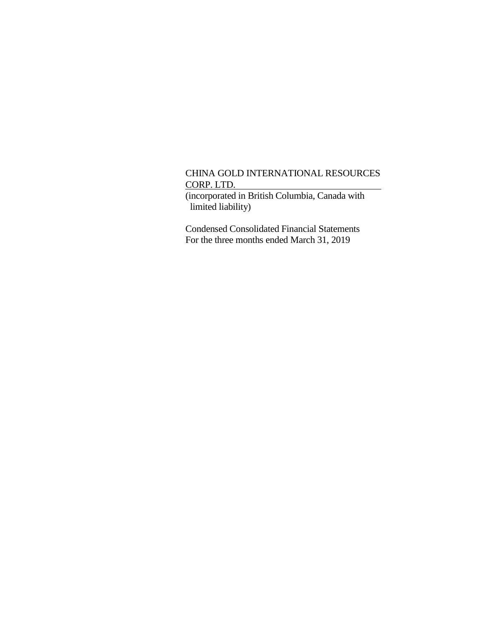(incorporated in British Columbia, Canada with limited liability)

Condensed Consolidated Financial Statements For the three months ended March 31, 2019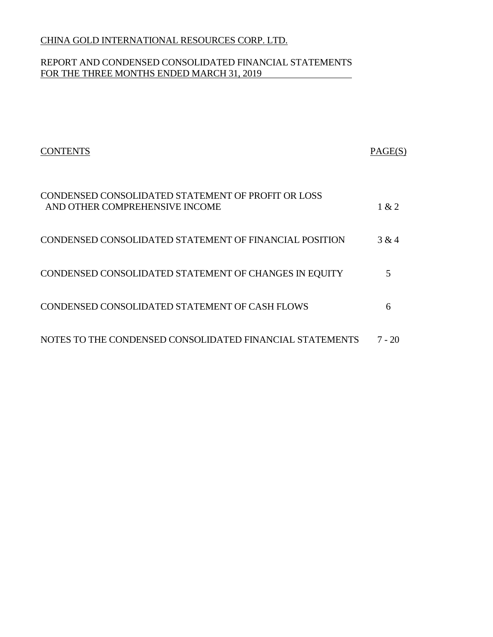## REPORT AND CONDENSED CONSOLIDATED FINANCIAL STATEMENTS FOR THE THREE MONTHS ENDED MARCH 31, 2019

| CONTENTS                                                                             | PAGE(S) |
|--------------------------------------------------------------------------------------|---------|
| CONDENSED CONSOLIDATED STATEMENT OF PROFIT OR LOSS<br>AND OTHER COMPREHENSIVE INCOME | 1 & 2   |
| CONDENSED CONSOLIDATED STATEMENT OF FINANCIAL POSITION                               | 3 & 4   |
| CONDENSED CONSOLIDATED STATEMENT OF CHANGES IN EQUITY                                |         |
| CONDENSED CONSOLIDATED STATEMENT OF CASH FLOWS                                       | 6       |
| NOTES TO THE CONDENSED CONSOLIDATED FINANCIAL STATEMENTS                             | 7 - 20  |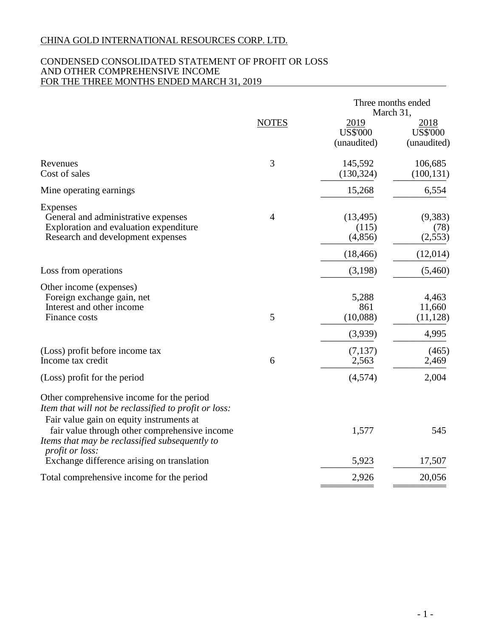## CONDENSED CONSOLIDATED STATEMENT OF PROFIT OR LOSS AND OTHER COMPREHENSIVE INCOME FOR THE THREE MONTHS ENDED MARCH 31, 2019

|                                                                                                                                                                         |                |                                        | Three months ended<br>March 31,                 |
|-------------------------------------------------------------------------------------------------------------------------------------------------------------------------|----------------|----------------------------------------|-------------------------------------------------|
|                                                                                                                                                                         | <b>NOTES</b>   | 2019<br><b>US\$'000</b><br>(unaudited) | <u> 2018 </u><br><b>US\$'000</b><br>(unaudited) |
| Revenues<br>Cost of sales                                                                                                                                               | 3              | 145,592<br>(130, 324)                  | 106,685<br>(100, 131)                           |
| Mine operating earnings                                                                                                                                                 |                | 15,268                                 | 6,554                                           |
| Expenses<br>General and administrative expenses<br>Exploration and evaluation expenditure<br>Research and development expenses                                          | $\overline{4}$ | (13, 495)<br>(115)<br>(4,856)          | (9,383)<br>(78)<br>(2,553)                      |
|                                                                                                                                                                         |                | (18, 466)                              | (12,014)                                        |
| Loss from operations                                                                                                                                                    |                | (3,198)                                | (5,460)                                         |
| Other income (expenses)<br>Foreign exchange gain, net<br>Interest and other income<br>Finance costs                                                                     | 5              | 5,288<br>861<br>(10,088)               | 4,463<br>11,660<br>(11, 128)                    |
|                                                                                                                                                                         |                | (3,939)                                | 4,995                                           |
| (Loss) profit before income tax<br>Income tax credit                                                                                                                    | 6              | (7,137)<br>2,563                       | (465)<br>2,469                                  |
| (Loss) profit for the period                                                                                                                                            |                | (4,574)                                | 2,004                                           |
| Other comprehensive income for the period<br>Item that will not be reclassified to profit or loss:<br>Fair value gain on equity instruments at                          |                |                                        |                                                 |
| fair value through other comprehensive income<br>Items that may be reclassified subsequently to<br><i>profit or loss:</i><br>Exchange difference arising on translation |                | 1,577<br>5,923                         | 545<br>17,507                                   |
| Total comprehensive income for the period                                                                                                                               |                | 2,926                                  | 20,056                                          |
|                                                                                                                                                                         |                |                                        |                                                 |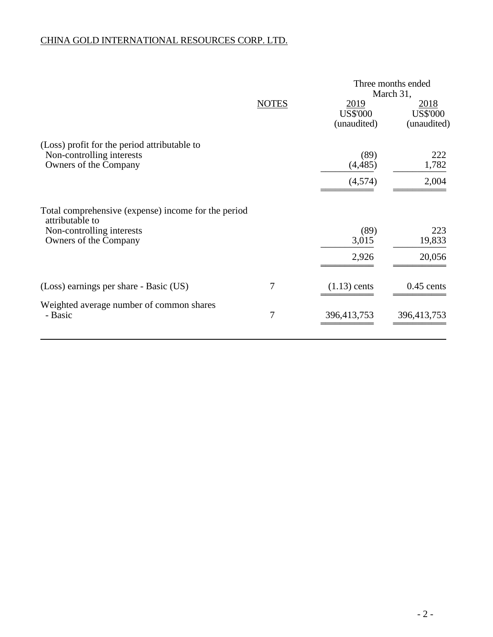|                                                                                                                              |              |                                        | Three months ended<br>March 31,        |
|------------------------------------------------------------------------------------------------------------------------------|--------------|----------------------------------------|----------------------------------------|
|                                                                                                                              | <b>NOTES</b> | 2019<br><b>US\$'000</b><br>(unaudited) | 2018<br><b>US\$'000</b><br>(unaudited) |
| (Loss) profit for the period attributable to<br>Non-controlling interests<br>Owners of the Company                           |              | (89)<br>(4, 485)<br>(4,574)            | 222<br>1,782<br>2,004                  |
| Total comprehensive (expense) income for the period<br>attributable to<br>Non-controlling interests<br>Owners of the Company |              | (89)<br>3,015<br>2,926                 | 223<br>19,833<br>20,056                |
| (Loss) earnings per share - Basic (US)                                                                                       | 7            | $(1.13)$ cents                         | $0.45$ cents                           |
| Weighted average number of common shares<br>- Basic                                                                          | 7            | 396,413,753                            | 396,413,753                            |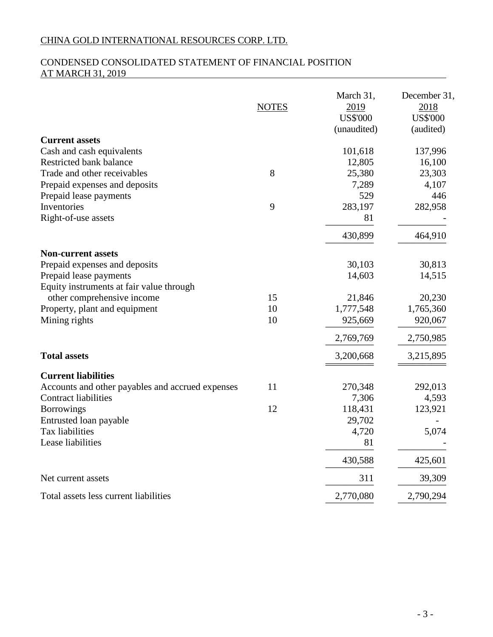## CONDENSED CONSOLIDATED STATEMENT OF FINANCIAL POSITION AT MARCH 31, 2019

| <b>NOTES</b>                                           | March 31,<br>2019<br><b>US\$'000</b><br>(unaudited) | December 31,<br>2018<br><b>US\$'000</b><br>(audited) |
|--------------------------------------------------------|-----------------------------------------------------|------------------------------------------------------|
| <b>Current assets</b>                                  |                                                     |                                                      |
| Cash and cash equivalents                              | 101,618                                             | 137,996                                              |
| Restricted bank balance                                | 12,805                                              | 16,100                                               |
| 8<br>Trade and other receivables                       | 25,380                                              | 23,303                                               |
| Prepaid expenses and deposits                          | 7,289                                               | 4,107                                                |
| Prepaid lease payments                                 | 529                                                 | 446                                                  |
| Inventories<br>9                                       | 283,197                                             | 282,958                                              |
| Right-of-use assets                                    | 81                                                  |                                                      |
|                                                        | 430,899                                             | 464,910                                              |
| <b>Non-current assets</b>                              |                                                     |                                                      |
| Prepaid expenses and deposits                          | 30,103                                              | 30,813                                               |
| Prepaid lease payments                                 | 14,603                                              | 14,515                                               |
| Equity instruments at fair value through               |                                                     |                                                      |
| 15<br>other comprehensive income                       | 21,846                                              | 20,230                                               |
| 10<br>Property, plant and equipment                    | 1,777,548                                           | 1,765,360                                            |
| 10<br>Mining rights                                    | 925,669                                             | 920,067                                              |
|                                                        | 2,769,769                                           | 2,750,985                                            |
| <b>Total assets</b>                                    | 3,200,668                                           | 3,215,895                                            |
| <b>Current liabilities</b>                             |                                                     |                                                      |
| 11<br>Accounts and other payables and accrued expenses | 270,348                                             | 292,013                                              |
| <b>Contract liabilities</b>                            | 7,306                                               | 4,593                                                |
| 12<br><b>Borrowings</b>                                | 118,431                                             | 123,921                                              |
| Entrusted loan payable                                 | 29,702                                              |                                                      |
| Tax liabilities                                        | 4,720                                               | 5,074                                                |
| Lease liabilities                                      | 81                                                  |                                                      |
|                                                        | 430,588                                             | 425,601                                              |
| Net current assets                                     | 311                                                 | 39,309                                               |
| Total assets less current liabilities                  | 2,770,080                                           | 2,790,294                                            |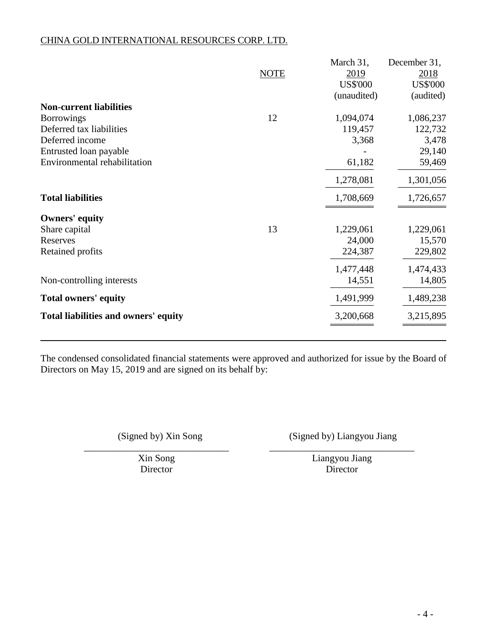|                                      |             | March 31,       | December 31,    |
|--------------------------------------|-------------|-----------------|-----------------|
|                                      | <b>NOTE</b> | 2019            | 2018            |
|                                      |             | <b>US\$'000</b> | <b>US\$'000</b> |
|                                      |             | (unaudited)     | (audited)       |
| <b>Non-current liabilities</b>       |             |                 |                 |
| <b>Borrowings</b>                    | 12          | 1,094,074       | 1,086,237       |
| Deferred tax liabilities             |             | 119,457         | 122,732         |
| Deferred income                      |             | 3,368           | 3,478           |
| Entrusted loan payable               |             |                 | 29,140          |
| Environmental rehabilitation         |             | 61,182          | 59,469          |
|                                      |             | 1,278,081       | 1,301,056       |
| <b>Total liabilities</b>             |             | 1,708,669       | 1,726,657       |
| <b>Owners' equity</b>                |             |                 |                 |
| Share capital                        | 13          | 1,229,061       | 1,229,061       |
| Reserves                             |             | 24,000          | 15,570          |
| Retained profits                     |             | 224,387         | 229,802         |
|                                      |             | 1,477,448       | 1,474,433       |
| Non-controlling interests            |             | 14,551          | 14,805          |
| <b>Total owners' equity</b>          |             | 1,491,999       | 1,489,238       |
| Total liabilities and owners' equity |             | 3,200,668       | 3,215,895       |
|                                      |             |                 |                 |

The condensed consolidated financial statements were approved and authorized for issue by the Board of Directors on May 15, 2019 and are signed on its behalf by:

(Signed by) Xin Song (Signed by) Liangyou Jiang

\_\_\_\_\_\_\_\_\_\_\_\_\_\_\_\_\_\_\_\_\_\_\_\_\_\_\_\_\_\_ \_\_\_\_\_\_\_\_\_\_\_\_\_\_\_\_\_\_\_\_\_\_\_\_\_\_\_\_\_\_

Xin Song Liangyou Jiang Director Director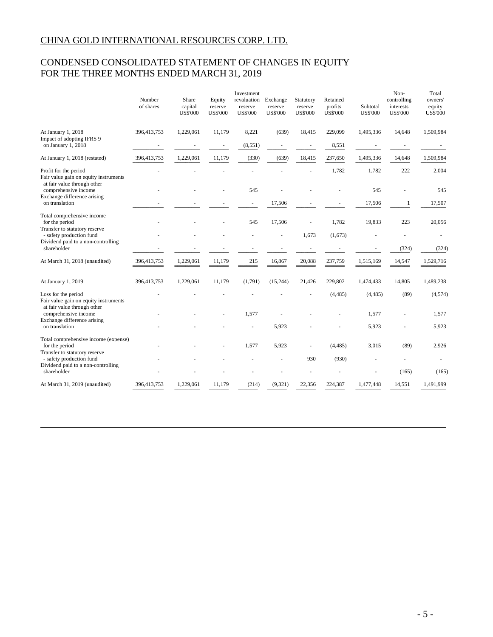## CONDENSED CONSOLIDATED STATEMENT OF CHANGES IN EQUITY FOR THE THREE MONTHS ENDED MARCH 31, 2019

|                                                                                               | Number<br>of shares | Share<br>capital<br><b>US\$'000</b> | Equity<br>reserve<br><b>US\$'000</b> | Investment<br>revaluation<br>reserve<br><b>US\$'000</b> | Exchange<br>reserve<br><b>US\$'000</b> | Statutory<br>reserve<br><b>US\$'000</b> | Retained<br>profits<br><b>US\$'000</b> | Subtotal<br><b>US\$'000</b> | Non-<br>controlling<br>interests<br><b>US\$'000</b> | Total<br>owners'<br>equity<br><b>US\$'000</b> |
|-----------------------------------------------------------------------------------------------|---------------------|-------------------------------------|--------------------------------------|---------------------------------------------------------|----------------------------------------|-----------------------------------------|----------------------------------------|-----------------------------|-----------------------------------------------------|-----------------------------------------------|
| At January 1, 2018                                                                            | 396,413,753         | 1,229,061                           | 11,179                               | 8,221                                                   | (639)                                  | 18,415                                  | 229,099                                | 1,495,336                   | 14,648                                              | 1,509,984                                     |
| Impact of adopting IFRS 9<br>on January 1, 2018                                               |                     |                                     |                                      | (8, 551)                                                |                                        |                                         | 8,551                                  |                             |                                                     |                                               |
| At January 1, 2018 (restated)                                                                 | 396,413,753         | 1,229,061                           | 11,179                               | (330)                                                   | (639)                                  | 18,415                                  | 237,650                                | 1,495,336                   | 14,648                                              | 1,509,984                                     |
| Profit for the period<br>Fair value gain on equity instruments<br>at fair value through other |                     |                                     |                                      |                                                         |                                        |                                         | 1,782                                  | 1,782                       | 222                                                 | 2,004                                         |
| comprehensive income<br>Exchange difference arising                                           |                     |                                     |                                      | 545                                                     |                                        |                                         |                                        | 545                         |                                                     | 545                                           |
| on translation                                                                                |                     |                                     |                                      |                                                         | 17,506                                 |                                         |                                        | 17,506                      | 1                                                   | 17,507                                        |
| Total comprehensive income<br>for the period                                                  |                     |                                     |                                      | 545                                                     | 17,506                                 |                                         | 1,782                                  | 19,833                      | 223                                                 | 20,056                                        |
| Transfer to statutory reserve<br>- safety production fund                                     |                     |                                     |                                      |                                                         |                                        | 1,673                                   | (1,673)                                |                             |                                                     |                                               |
| Dividend paid to a non-controlling<br>shareholder                                             |                     |                                     |                                      |                                                         |                                        |                                         |                                        |                             | (324)                                               | (324)                                         |
| At March 31, 2018 (unaudited)                                                                 | 396,413,753         | 1,229,061                           | 11.179                               | 215                                                     | 16,867                                 | 20,088                                  | 237,759                                | 1,515,169                   | 14,547                                              | 1,529,716                                     |
| At January 1, 2019                                                                            | 396,413,753         | 1,229,061                           | 11,179                               | (1,791)                                                 | (15,244)                               | 21,426                                  | 229,802                                | 1,474,433                   | 14,805                                              | 1,489,238                                     |
| Loss for the period<br>Fair value gain on equity instruments                                  |                     |                                     |                                      |                                                         |                                        |                                         | (4, 485)                               | (4, 485)                    | (89)                                                | (4, 574)                                      |
| at fair value through other<br>comprehensive income<br>Exchange difference arising            |                     |                                     |                                      | 1,577                                                   |                                        |                                         |                                        | 1,577                       |                                                     | 1,577                                         |
| on translation                                                                                |                     |                                     |                                      |                                                         | 5,923                                  |                                         |                                        | 5,923                       |                                                     | 5,923                                         |
| Total comprehensive income (expense)<br>for the period<br>Transfer to statutory reserve       |                     |                                     |                                      | 1,577                                                   | 5,923                                  |                                         | (4, 485)                               | 3,015                       | (89)                                                | 2,926                                         |
| - safety production fund<br>Dividend paid to a non-controlling                                |                     |                                     |                                      |                                                         |                                        | 930                                     | (930)                                  |                             |                                                     |                                               |
| shareholder                                                                                   |                     |                                     |                                      |                                                         |                                        |                                         |                                        |                             | (165)                                               | (165)                                         |
| At March 31, 2019 (unaudited)                                                                 | 396,413,753         | 1,229,061                           | 11,179                               | (214)                                                   | (9, 321)                               | 22,356                                  | 224,387<br>$=$                         | 1,477,448                   | 14,551                                              | 1,491,999                                     |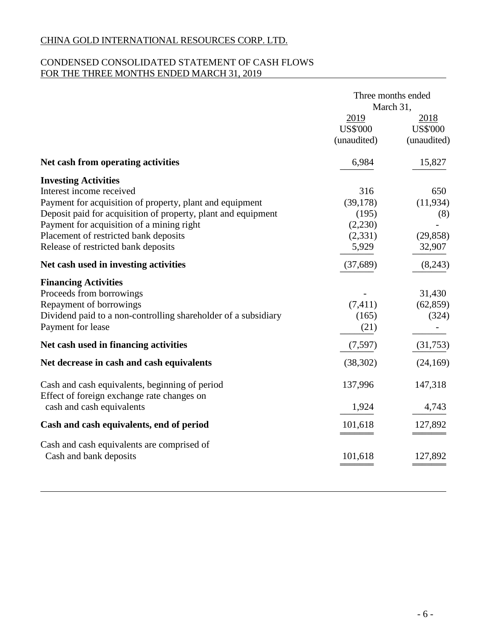## CONDENSED CONSOLIDATED STATEMENT OF CASH FLOWS FOR THE THREE MONTHS ENDED MARCH 31, 2019

|                                                                | Three months ended<br>March 31,        |                                        |  |
|----------------------------------------------------------------|----------------------------------------|----------------------------------------|--|
|                                                                | 2019<br><b>US\$'000</b><br>(unaudited) | 2018<br><b>US\$'000</b><br>(unaudited) |  |
| Net cash from operating activities                             | 6,984                                  | 15,827                                 |  |
| <b>Investing Activities</b>                                    |                                        |                                        |  |
| Interest income received                                       | 316                                    | 650                                    |  |
| Payment for acquisition of property, plant and equipment       | (39, 178)                              | (11, 934)                              |  |
| Deposit paid for acquisition of property, plant and equipment  | (195)                                  | (8)                                    |  |
| Payment for acquisition of a mining right                      | (2,230)                                |                                        |  |
| Placement of restricted bank deposits                          | (2,331)                                | (29, 858)                              |  |
| Release of restricted bank deposits                            | 5,929                                  | 32,907                                 |  |
| Net cash used in investing activities                          | (37,689)                               | (8,243)                                |  |
| <b>Financing Activities</b>                                    |                                        |                                        |  |
| Proceeds from borrowings                                       |                                        | 31,430                                 |  |
| Repayment of borrowings                                        | (7, 411)                               | (62, 859)                              |  |
| Dividend paid to a non-controlling shareholder of a subsidiary | (165)                                  | (324)                                  |  |
| Payment for lease                                              | (21)                                   |                                        |  |
| Net cash used in financing activities                          | (7,597)                                | (31,753)                               |  |
| Net decrease in cash and cash equivalents                      | (38, 302)                              | (24, 169)                              |  |
| Cash and cash equivalents, beginning of period                 | 137,996                                | 147,318                                |  |
| Effect of foreign exchange rate changes on                     |                                        |                                        |  |
| cash and cash equivalents                                      | 1,924                                  | 4,743                                  |  |
| Cash and cash equivalents, end of period                       | 101,618                                | 127,892                                |  |
| Cash and cash equivalents are comprised of                     |                                        |                                        |  |
| Cash and bank deposits                                         | 101,618                                | 127,892                                |  |
|                                                                |                                        |                                        |  |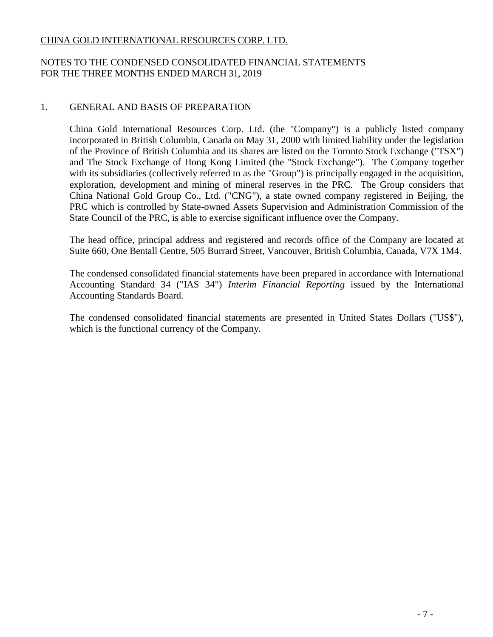## NOTES TO THE CONDENSED CONSOLIDATED FINANCIAL STATEMENTS FOR THE THREE MONTHS ENDED MARCH 31, 2019

## 1. GENERAL AND BASIS OF PREPARATION

China Gold International Resources Corp. Ltd. (the "Company") is a publicly listed company incorporated in British Columbia, Canada on May 31, 2000 with limited liability under the legislation of the Province of British Columbia and its shares are listed on the Toronto Stock Exchange ("TSX") and The Stock Exchange of Hong Kong Limited (the "Stock Exchange"). The Company together with its subsidiaries (collectively referred to as the "Group") is principally engaged in the acquisition, exploration, development and mining of mineral reserves in the PRC. The Group considers that China National Gold Group Co., Ltd. ("CNG"), a state owned company registered in Beijing, the PRC which is controlled by State-owned Assets Supervision and Administration Commission of the State Council of the PRC, is able to exercise significant influence over the Company.

The head office, principal address and registered and records office of the Company are located at Suite 660, One Bentall Centre, 505 Burrard Street, Vancouver, British Columbia, Canada, V7X 1M4.

The condensed consolidated financial statements have been prepared in accordance with International Accounting Standard 34 ("IAS 34") *Interim Financial Reporting* issued by the International Accounting Standards Board.

The condensed consolidated financial statements are presented in United States Dollars ("US\$"), which is the functional currency of the Company.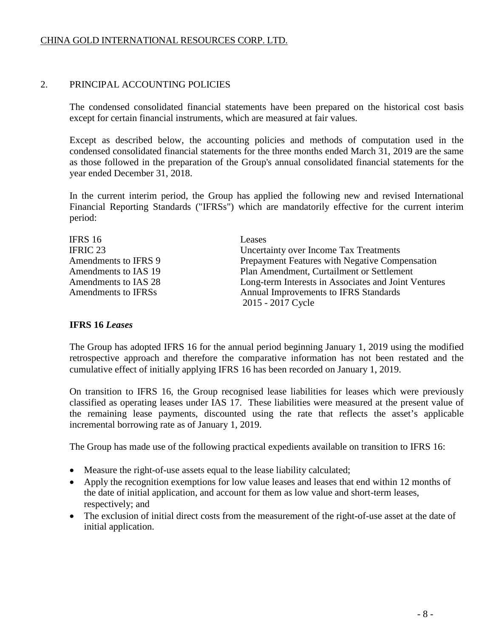## 2. PRINCIPAL ACCOUNTING POLICIES

The condensed consolidated financial statements have been prepared on the historical cost basis except for certain financial instruments, which are measured at fair values.

Except as described below, the accounting policies and methods of computation used in the condensed consolidated financial statements for the three months ended March 31, 2019 are the same as those followed in the preparation of the Group's annual consolidated financial statements for the year ended December 31, 2018.

In the current interim period, the Group has applied the following new and revised International Financial Reporting Standards ("IFRSs") which are mandatorily effective for the current interim period:

| IFRS 16              | Leases                                               |
|----------------------|------------------------------------------------------|
| <b>IFRIC 23</b>      | Uncertainty over Income Tax Treatments               |
| Amendments to IFRS 9 | Prepayment Features with Negative Compensation       |
| Amendments to IAS 19 | Plan Amendment, Curtailment or Settlement            |
| Amendments to IAS 28 | Long-term Interests in Associates and Joint Ventures |
| Amendments to IFRSs  | Annual Improvements to IFRS Standards                |
|                      | 2015 - 2017 Cycle                                    |

## **IFRS 16** *Leases*

The Group has adopted IFRS 16 for the annual period beginning January 1, 2019 using the modified retrospective approach and therefore the comparative information has not been restated and the cumulative effect of initially applying IFRS 16 has been recorded on January 1, 2019.

On transition to IFRS 16, the Group recognised lease liabilities for leases which were previously classified as operating leases under IAS 17. These liabilities were measured at the present value of the remaining lease payments, discounted using the rate that reflects the asset's applicable incremental borrowing rate as of January 1, 2019.

The Group has made use of the following practical expedients available on transition to IFRS 16:

- Measure the right-of-use assets equal to the lease liability calculated;
- Apply the recognition exemptions for low value leases and leases that end within 12 months of the date of initial application, and account for them as low value and short-term leases, respectively; and
- The exclusion of initial direct costs from the measurement of the right-of-use asset at the date of initial application.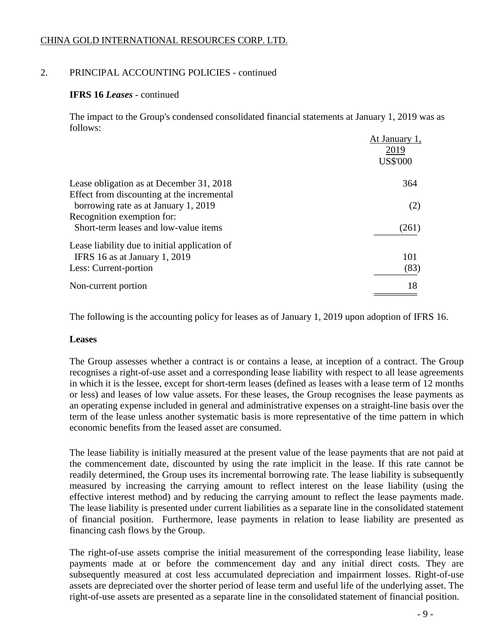## 2. PRINCIPAL ACCOUNTING POLICIES - continued

## **IFRS 16** *Leases* - continued

The impact to the Group's condensed consolidated financial statements at January 1, 2019 was as follows:

|                                               | At January 1,<br>2019<br><b>US\$'000</b> |
|-----------------------------------------------|------------------------------------------|
| Lease obligation as at December 31, 2018      | 364                                      |
| Effect from discounting at the incremental    |                                          |
| borrowing rate as at January 1, 2019          | (2)                                      |
| Recognition exemption for:                    |                                          |
| Short-term leases and low-value items         | (261)                                    |
| Lease liability due to initial application of |                                          |
| IFRS 16 as at January 1, 2019                 | 101                                      |
| Less: Current-portion                         | (83)                                     |
| Non-current portion                           | 18                                       |
|                                               |                                          |

The following is the accounting policy for leases as of January 1, 2019 upon adoption of IFRS 16.

## **Leases**

The Group assesses whether a contract is or contains a lease, at inception of a contract. The Group recognises a right-of-use asset and a corresponding lease liability with respect to all lease agreements in which it is the lessee, except for short-term leases (defined as leases with a lease term of 12 months or less) and leases of low value assets. For these leases, the Group recognises the lease payments as an operating expense included in general and administrative expenses on a straight-line basis over the term of the lease unless another systematic basis is more representative of the time pattern in which economic benefits from the leased asset are consumed.

The lease liability is initially measured at the present value of the lease payments that are not paid at the commencement date, discounted by using the rate implicit in the lease. If this rate cannot be readily determined, the Group uses its incremental borrowing rate. The lease liability is subsequently measured by increasing the carrying amount to reflect interest on the lease liability (using the effective interest method) and by reducing the carrying amount to reflect the lease payments made. The lease liability is presented under current liabilities as a separate line in the consolidated statement of financial position. Furthermore, lease payments in relation to lease liability are presented as financing cash flows by the Group.

The right-of-use assets comprise the initial measurement of the corresponding lease liability, lease payments made at or before the commencement day and any initial direct costs. They are subsequently measured at cost less accumulated depreciation and impairment losses. Right-of-use assets are depreciated over the shorter period of lease term and useful life of the underlying asset. The right-of-use assets are presented as a separate line in the consolidated statement of financial position.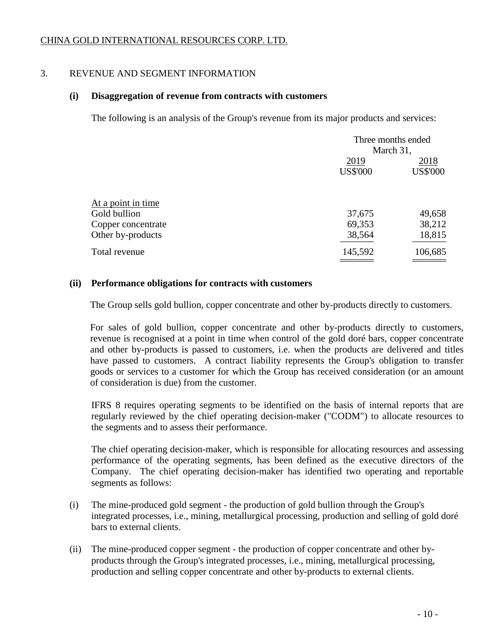## 3. REVENUE AND SEGMENT INFORMATION

## **(i) Disaggregation of revenue from contracts with customers**

The following is an analysis of the Group's revenue from its major products and services:

|                    | Three months ended |                 |
|--------------------|--------------------|-----------------|
|                    | March 31,          |                 |
|                    | 2019               | 2018            |
|                    | <b>US\$'000</b>    | <b>US\$'000</b> |
|                    |                    |                 |
| At a point in time |                    |                 |
| Gold bullion       | 37,675             | 49,658          |
| Copper concentrate | 69,353             | 38,212          |
| Other by-products  | 38,564             | 18,815          |
| Total revenue      | 145,592            | 106,685         |
|                    |                    |                 |

## **(ii) Performance obligations for contracts with customers**

The Group sells gold bullion, copper concentrate and other by-products directly to customers.

For sales of gold bullion, copper concentrate and other by-products directly to customers, revenue is recognised at a point in time when control of the gold doré bars, copper concentrate and other by-products is passed to customers, i.e. when the products are delivered and titles have passed to customers. A contract liability represents the Group's obligation to transfer goods or services to a customer for which the Group has received consideration (or an amount of consideration is due) from the customer.

IFRS 8 requires operating segments to be identified on the basis of internal reports that are regularly reviewed by the chief operating decision-maker ("CODM") to allocate resources to the segments and to assess their performance.

The chief operating decision-maker, which is responsible for allocating resources and assessing performance of the operating segments, has been defined as the executive directors of the Company. The chief operating decision-maker has identified two operating and reportable segments as follows:

- (i) The mine-produced gold segment the production of gold bullion through the Group's integrated processes, i.e., mining, metallurgical processing, production and selling of gold doré bars to external clients.
- (ii) The mine-produced copper segment the production of copper concentrate and other byproducts through the Group's integrated processes, i.e., mining, metallurgical processing, production and selling copper concentrate and other by-products to external clients.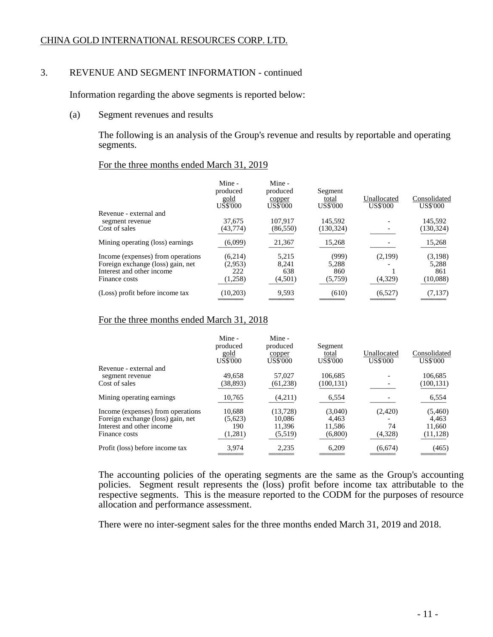## 3. REVENUE AND SEGMENT INFORMATION - continued

Information regarding the above segments is reported below:

(a) Segment revenues and results

The following is an analysis of the Group's revenue and results by reportable and operating segments.

### For the three months ended March 31, 2019

|                                   | Mine -<br>produced<br>gold<br><b>US\$'000</b> | Mine -<br>produced<br>copper<br><b>US\$'000</b> | Segment<br>total<br>US\$'000 | Unallocated<br><b>US\$'000</b> | Consolidated<br><b>US\$'000</b> |
|-----------------------------------|-----------------------------------------------|-------------------------------------------------|------------------------------|--------------------------------|---------------------------------|
| Revenue - external and            |                                               |                                                 |                              |                                |                                 |
| segment revenue                   | 37.675                                        | 107.917                                         | 145.592                      |                                | 145.592                         |
| Cost of sales                     | (43, 774)                                     | (86, 550)                                       | (130, 324)                   |                                | (130, 324)                      |
| Mining operating (loss) earnings  | (6,099)                                       | 21,367                                          | 15,268                       |                                | 15,268                          |
| Income (expenses) from operations | (6.214)                                       | 5,215                                           | (999)                        | (2,199)                        | (3,198)                         |
| Foreign exchange (loss) gain, net | (2.953)                                       | 8.241                                           | 5.288                        |                                | 5,288                           |
| Interest and other income         | 222                                           | 638                                             | 860                          |                                | 861                             |
| Finance costs                     | (1,258)                                       | (4,501)                                         | (5,759)                      | (4,329)                        | (10,088)                        |
| (Loss) profit before income tax   | (10,203)                                      | 9,593                                           | (610)                        | (6,527)                        | (7, 137)                        |

### For the three months ended March 31, 2018

|                                   | Mine -<br>produced<br>gold<br><b>US\$'000</b> | Mine -<br>produced<br>copper<br><b>US\$'000</b> | Segment<br>total<br><b>US\$'000</b> | Unallocated<br>US\$'000 | Consolidated<br><b>US\$'000</b> |
|-----------------------------------|-----------------------------------------------|-------------------------------------------------|-------------------------------------|-------------------------|---------------------------------|
| Revenue - external and            |                                               |                                                 |                                     |                         |                                 |
| segment revenue                   | 49,658                                        | 57.027                                          | 106.685                             |                         | 106.685                         |
| Cost of sales                     | (38, 893)                                     | (61, 238)                                       | (100, 131)                          |                         | (100, 131)                      |
| Mining operating earnings         | 10,765                                        | (4,211)                                         | 6,554                               |                         | 6,554                           |
| Income (expenses) from operations | 10.688                                        | (13, 728)                                       | (3,040)                             | (2,420)                 | (5,460)                         |
| Foreign exchange (loss) gain, net | (5,623)                                       | 10.086                                          | 4.463                               |                         | 4.463                           |
| Interest and other income         | 190                                           | 11.396                                          | 11,586                              | 74                      | 11,660                          |
| Finance costs                     | (1,281)                                       | (5,519)                                         | (6,800)                             | (4,328)                 | (11, 128)                       |
| Profit (loss) before income tax   | 3,974                                         | 2,235                                           | 6,209                               | (6,674)                 | (465)                           |

The accounting policies of the operating segments are the same as the Group's accounting policies. Segment result represents the (loss) profit before income tax attributable to the respective segments. This is the measure reported to the CODM for the purposes of resource allocation and performance assessment.

There were no inter-segment sales for the three months ended March 31, 2019 and 2018.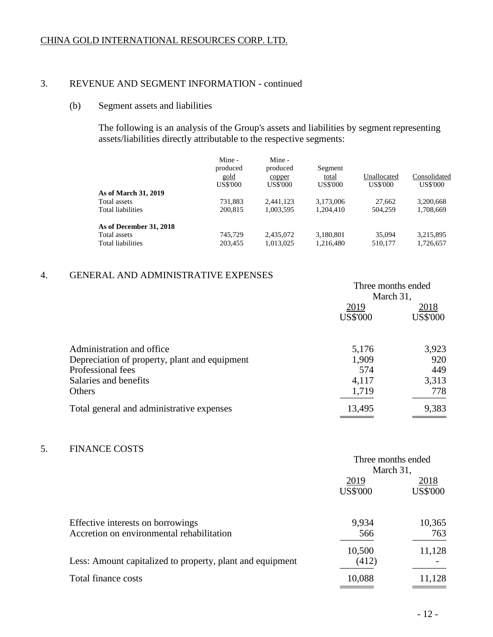### 3. REVENUE AND SEGMENT INFORMATION - continued

## (b) Segment assets and liabilities

The following is an analysis of the Group's assets and liabilities by segment representing assets/liabilities directly attributable to the respective segments:

|                          | Mine -<br>produced<br>gold<br>US\$'000 | Mine -<br>produced<br>copper<br>US\$'000 | Segment<br>total<br>US\$'000 | Unallocated<br>US\$'000 | Consolidated<br>US\$'000 |
|--------------------------|----------------------------------------|------------------------------------------|------------------------------|-------------------------|--------------------------|
| As of March 31, 2019     |                                        |                                          |                              |                         |                          |
| Total assets             | 731,883                                | 2.441.123                                | 3,173,006                    | 27,662                  | 3,200,668                |
| <b>Total liabilities</b> | 200.815                                | 1,003,595                                | 1.204.410                    | 504,259                 | 1,708,669                |
| As of December 31, 2018  |                                        |                                          |                              |                         |                          |
| Total assets             | 745.729                                | 2.435,072                                | 3,180,801                    | 35,094                  | 3,215,895                |
| Total liabilities        | 203,455                                | 1,013,025                                | 1,216,480                    | 510,177                 | 1,726,657                |

## 4. GENERAL AND ADMINISTRATIVE EXPENSES

|                                                                             | Three months ended<br>March 31, |                         |
|-----------------------------------------------------------------------------|---------------------------------|-------------------------|
|                                                                             | 2019<br><b>US\$'000</b>         | 2018<br><b>US\$'000</b> |
| Administration and office.<br>Depreciation of property, plant and equipment | 5,176<br>1,909                  | 3,923<br>920            |
| Professional fees<br>Salaries and benefits<br><b>Others</b>                 | 574<br>4,117<br>1,719           | 449<br>3,313<br>778     |
| Total general and administrative expenses                                   | 13,495                          | 9,383                   |

## 5. FINANCE COSTS

|                                                           | Three months ended |                 |
|-----------------------------------------------------------|--------------------|-----------------|
|                                                           | March 31,          |                 |
|                                                           | 2019               | 2018            |
|                                                           | <b>US\$'000</b>    | <b>US\$'000</b> |
| Effective interests on borrowings                         | 9,934              | 10,365          |
| Accretion on environmental rehabilitation                 | 566                | 763             |
|                                                           | 10,500             | 11,128          |
| Less: Amount capitalized to property, plant and equipment | (412)              |                 |
| Total finance costs                                       | 10,088             | 11,128          |
|                                                           |                    |                 |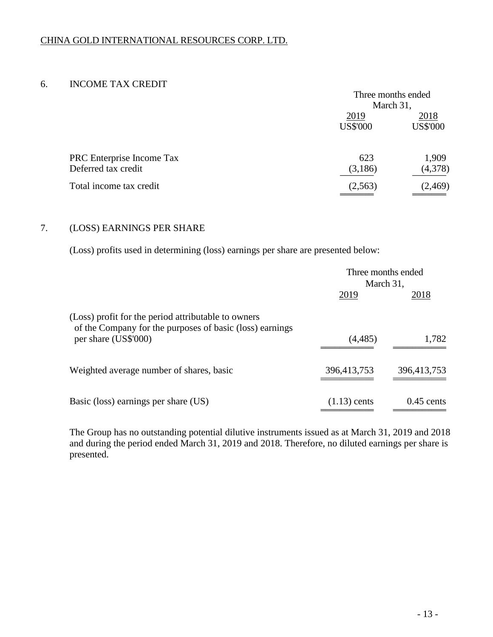## 6. INCOME TAX CREDIT

|                           | Three months ended |                 |
|---------------------------|--------------------|-----------------|
|                           | March 31,          |                 |
|                           | 2019               | 2018            |
|                           | <b>US\$'000</b>    | <b>US\$'000</b> |
|                           |                    |                 |
| PRC Enterprise Income Tax | 623                | 1,909           |
| Deferred tax credit       | (3,186)            | (4,378)         |
| Total income tax credit   | (2, 563)           | (2,469)         |
|                           |                    |                 |

## 7. (LOSS) EARNINGS PER SHARE

(Loss) profits used in determining (loss) earnings per share are presented below:

|                                                                                                                 | Three months ended<br>March 31, |              |
|-----------------------------------------------------------------------------------------------------------------|---------------------------------|--------------|
|                                                                                                                 | 2019                            | 2018         |
| (Loss) profit for the period attributable to owners<br>of the Company for the purposes of basic (loss) earnings |                                 |              |
| per share (US\$'000)                                                                                            | (4, 485)                        | 1,782        |
| Weighted average number of shares, basic                                                                        | 396,413,753                     | 396,413,753  |
| Basic (loss) earnings per share (US)                                                                            | $(1.13)$ cents                  | $0.45$ cents |

The Group has no outstanding potential dilutive instruments issued as at March 31, 2019 and 2018 and during the period ended March 31, 2019 and 2018. Therefore, no diluted earnings per share is presented.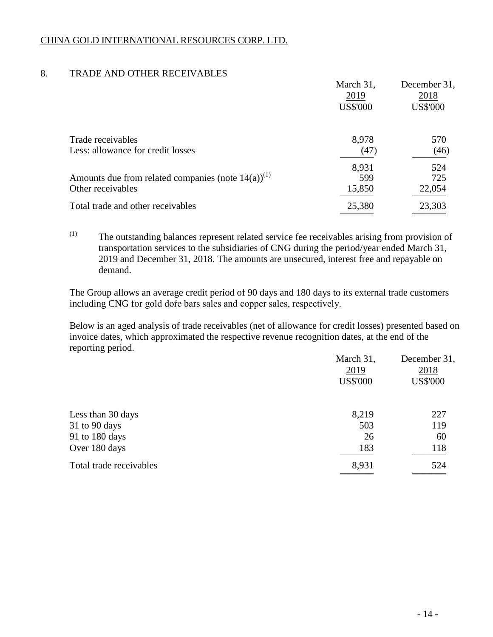## 8. TRADE AND OTHER RECEIVABLES

|                                                                                        | March 31,<br>2019      | December 31,<br>2018 |
|----------------------------------------------------------------------------------------|------------------------|----------------------|
|                                                                                        | <b>US\$'000</b>        | <b>US\$'000</b>      |
| Trade receivables<br>Less: allowance for credit losses                                 | 8,978<br>(47)          | 570<br>(46)          |
| Amounts due from related companies (note $14(a)$ ) <sup>(1)</sup><br>Other receivables | 8,931<br>599<br>15,850 | 524<br>725<br>22,054 |
| Total trade and other receivables                                                      | 25,380                 | 23,303               |

(1) The outstanding balances represent related service fee receivables arising from provision of transportation services to the subsidiaries of CNG during the period/year ended March 31, 2019 and December 31, 2018. The amounts are unsecured, interest free and repayable on demand.

The Group allows an average credit period of 90 days and 180 days to its external trade customers including CNG for gold doŕe bars sales and copper sales, respectively.

Below is an aged analysis of trade receivables (net of allowance for credit losses) presented based on invoice dates, which approximated the respective revenue recognition dates, at the end of the reporting period.

| March 31,<br>2019<br><b>US\$'000</b> | December 31,<br>2018<br><b>US\$'000</b> |
|--------------------------------------|-----------------------------------------|
| 8,219                                | 227                                     |
| 503                                  | 119                                     |
| 26                                   | 60                                      |
| 183                                  | 118                                     |
| 8,931                                | 524                                     |
|                                      |                                         |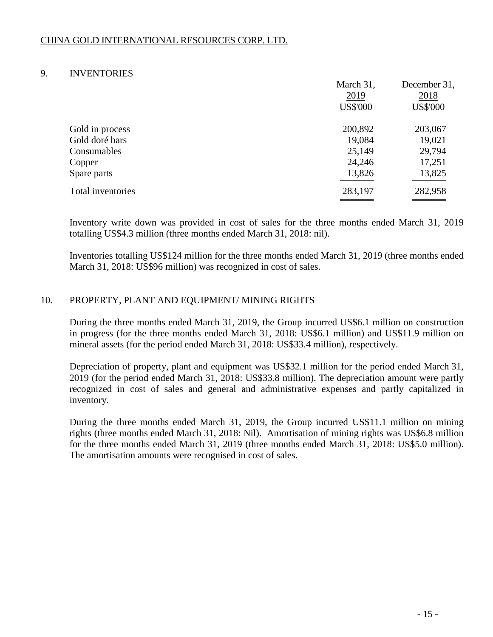## 9. INVENTORIES

|                   | March 31,       | December 31,    |
|-------------------|-----------------|-----------------|
|                   | 2019            | 2018            |
|                   | <b>US\$'000</b> | <b>US\$'000</b> |
| Gold in process   | 200,892         | 203,067         |
| Gold doré bars    | 19,084          | 19,021          |
| Consumables       | 25,149          | 29,794          |
| Copper            | 24,246          | 17,251          |
| Spare parts       | 13,826          | 13,825          |
| Total inventories | 283,197         | 282,958         |
|                   |                 |                 |

Inventory write down was provided in cost of sales for the three months ended March 31, 2019 totalling US\$4.3 million (three months ended March 31, 2018: nil).

Inventories totalling US\$124 million for the three months ended March 31, 2019 (three months ended March 31, 2018: US\$96 million) was recognized in cost of sales.

## 10. PROPERTY, PLANT AND EQUIPMENT/ MINING RIGHTS

During the three months ended March 31, 2019, the Group incurred US\$6.1 million on construction in progress (for the three months ended March 31, 2018: US\$6.1 million) and US\$11.9 million on mineral assets (for the period ended March 31, 2018: US\$33.4 million), respectively.

Depreciation of property, plant and equipment was US\$32.1 million for the period ended March 31, 2019 (for the period ended March 31, 2018: US\$33.8 million). The depreciation amount were partly recognized in cost of sales and general and administrative expenses and partly capitalized in inventory.

During the three months ended March 31, 2019, the Group incurred US\$11.1 million on mining rights (three months ended March 31, 2018: Nil). Amortisation of mining rights was US\$6.8 million for the three months ended March 31, 2019 (three months ended March 31, 2018: US\$5.0 million). The amortisation amounts were recognised in cost of sales.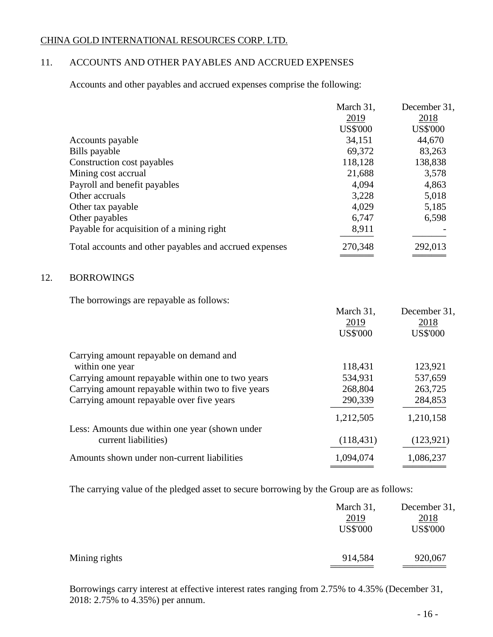## 11. ACCOUNTS AND OTHER PAYABLES AND ACCRUED EXPENSES

Accounts and other payables and accrued expenses comprise the following:

|                                                        | March 31,       | December 31,    |
|--------------------------------------------------------|-----------------|-----------------|
|                                                        | 2019            | 2018            |
|                                                        | <b>US\$'000</b> | <b>US\$'000</b> |
| Accounts payable                                       | 34,151          | 44,670          |
| Bills payable                                          | 69,372          | 83,263          |
| Construction cost payables                             | 118,128         | 138,838         |
| Mining cost accrual                                    | 21,688          | 3,578           |
| Payroll and benefit payables                           | 4,094           | 4,863           |
| Other accruals                                         | 3,228           | 5,018           |
| Other tax payable                                      | 4,029           | 5,185           |
| Other payables                                         | 6,747           | 6,598           |
| Payable for acquisition of a mining right              | 8,911           |                 |
| Total accounts and other payables and accrued expenses | 270,348         | 292,013         |
|                                                        |                 |                 |

## 12. BORROWINGS

The borrowings are repayable as follows:

|                                                    | March 31,<br>2019 | December 31,<br>2018 |
|----------------------------------------------------|-------------------|----------------------|
|                                                    | <b>US\$'000</b>   | <b>US\$'000</b>      |
| Carrying amount repayable on demand and            |                   |                      |
| within one year                                    | 118,431           | 123,921              |
| Carrying amount repayable within one to two years  | 534,931           | 537,659              |
| Carrying amount repayable within two to five years | 268,804           | 263,725              |
| Carrying amount repayable over five years          | 290,339           | 284,853              |
|                                                    | 1,212,505         | 1,210,158            |
| Less: Amounts due within one year (shown under     |                   |                      |
| current liabilities)                               | (118, 431)        | (123, 921)           |
| Amounts shown under non-current liabilities        | 1,094,074         | 1,086,237            |
|                                                    |                   |                      |

The carrying value of the pledged asset to secure borrowing by the Group are as follows:

|               | March 31,       | December 31,    |
|---------------|-----------------|-----------------|
|               | 2019            | 2018            |
|               | <b>US\$'000</b> | <b>US\$'000</b> |
|               |                 |                 |
| Mining rights | 914,584         | 920,067         |
|               |                 |                 |

Borrowings carry interest at effective interest rates ranging from 2.75% to 4.35% (December 31, 2018: 2.75% to 4.35%) per annum.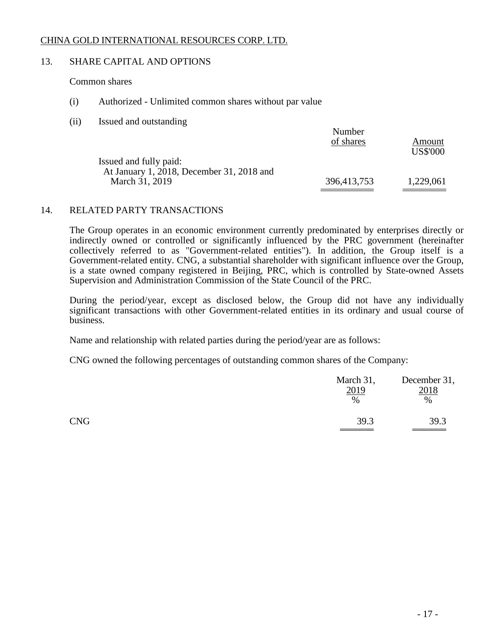## 13. SHARE CAPITAL AND OPTIONS

### Common shares

- (i) Authorized Unlimited common shares without par value
- (ii) Issued and outstanding

|                                                             | Number<br>of shares | Amount          |
|-------------------------------------------------------------|---------------------|-----------------|
| Issued and fully paid:                                      |                     | <b>US\$'000</b> |
| At January 1, 2018, December 31, 2018 and<br>March 31, 2019 | 396,413,753         | 1,229,061       |

### 14. RELATED PARTY TRANSACTIONS

The Group operates in an economic environment currently predominated by enterprises directly or indirectly owned or controlled or significantly influenced by the PRC government (hereinafter collectively referred to as "Government-related entities"). In addition, the Group itself is a Government-related entity. CNG, a substantial shareholder with significant influence over the Group, is a state owned company registered in Beijing, PRC, which is controlled by State-owned Assets Supervision and Administration Commission of the State Council of the PRC.

During the period/year, except as disclosed below, the Group did not have any individually significant transactions with other Government-related entities in its ordinary and usual course of business.

Name and relationship with related parties during the period/year are as follows:

CNG owned the following percentages of outstanding common shares of the Company:

|            | March 31,<br>2019<br>$\%$ | December 31,<br>2018<br>$\%$ |
|------------|---------------------------|------------------------------|
| <b>CNG</b> | 39.3                      | 39.3                         |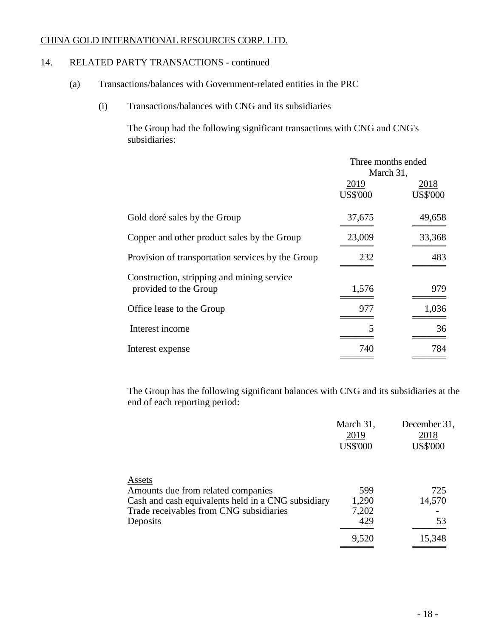## 14. RELATED PARTY TRANSACTIONS - continued

- (a) Transactions/balances with Government-related entities in the PRC
	- (i) Transactions/balances with CNG and its subsidiaries

The Group had the following significant transactions with CNG and CNG's subsidiaries:

|                                                   | Three months ended |                 |
|---------------------------------------------------|--------------------|-----------------|
|                                                   | March 31,          |                 |
|                                                   | 2019               | 2018            |
|                                                   | <b>US\$'000</b>    | <b>US\$'000</b> |
| Gold doré sales by the Group                      | 37,675             | 49,658          |
| Copper and other product sales by the Group       | 23,009             | 33,368          |
| Provision of transportation services by the Group | 232                | 483             |
| Construction, stripping and mining service        |                    |                 |
| provided to the Group                             | 1,576              | 979             |
| Office lease to the Group                         | 977                | 1,036           |
| Interest income                                   | 5                  | 36              |
| Interest expense                                  | 740                | 784             |

The Group has the following significant balances with CNG and its subsidiaries at the end of each reporting period:

|                                                    | March 31,       | December 31,    |
|----------------------------------------------------|-----------------|-----------------|
|                                                    | 2019            | 2018            |
|                                                    | <b>US\$'000</b> | <b>US\$'000</b> |
|                                                    |                 |                 |
| Assets                                             |                 |                 |
| Amounts due from related companies                 | 599             | 725             |
| Cash and cash equivalents held in a CNG subsidiary | 1,290           | 14,570          |
| Trade receivables from CNG subsidiaries            | 7,202           |                 |
| Deposits                                           | 429             | 53              |
|                                                    | 9,520           | 15,348          |
|                                                    |                 |                 |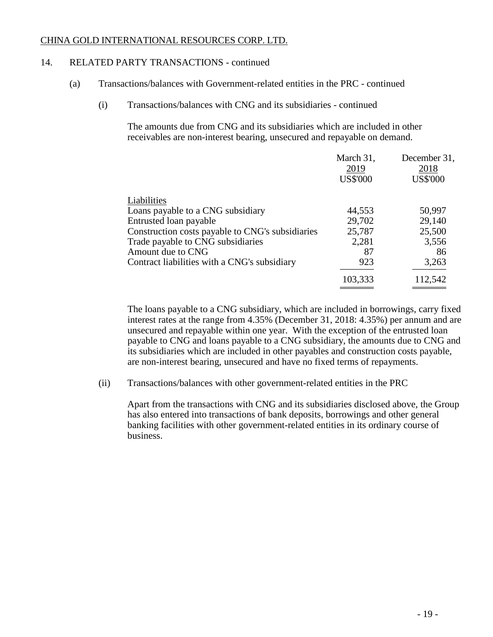## 14. RELATED PARTY TRANSACTIONS - continued

- (a) Transactions/balances with Government-related entities in the PRC continued
	- (i) Transactions/balances with CNG and its subsidiaries continued

The amounts due from CNG and its subsidiaries which are included in other receivables are non-interest bearing, unsecured and repayable on demand.

|                                                  | March 31,<br>2019<br><b>US\$'000</b> | December 31,<br>2018<br><b>US\$'000</b> |
|--------------------------------------------------|--------------------------------------|-----------------------------------------|
|                                                  |                                      |                                         |
|                                                  |                                      |                                         |
| Liabilities                                      |                                      |                                         |
| Loans payable to a CNG subsidiary                | 44,553                               | 50,997                                  |
| Entrusted loan payable                           | 29,702                               | 29,140                                  |
| Construction costs payable to CNG's subsidiaries | 25,787                               | 25,500                                  |
| Trade payable to CNG subsidiaries                | 2,281                                | 3,556                                   |
| Amount due to CNG                                | 87                                   | 86                                      |
| Contract liabilities with a CNG's subsidiary     | 923                                  | 3,263                                   |
|                                                  | 103,333                              | 112,542                                 |
|                                                  |                                      |                                         |

The loans payable to a CNG subsidiary, which are included in borrowings, carry fixed interest rates at the range from 4.35% (December 31, 2018: 4.35%) per annum and are unsecured and repayable within one year. With the exception of the entrusted loan payable to CNG and loans payable to a CNG subsidiary, the amounts due to CNG and its subsidiaries which are included in other payables and construction costs payable, are non-interest bearing, unsecured and have no fixed terms of repayments.

(ii) Transactions/balances with other government-related entities in the PRC

Apart from the transactions with CNG and its subsidiaries disclosed above, the Group has also entered into transactions of bank deposits, borrowings and other general banking facilities with other government-related entities in its ordinary course of business.